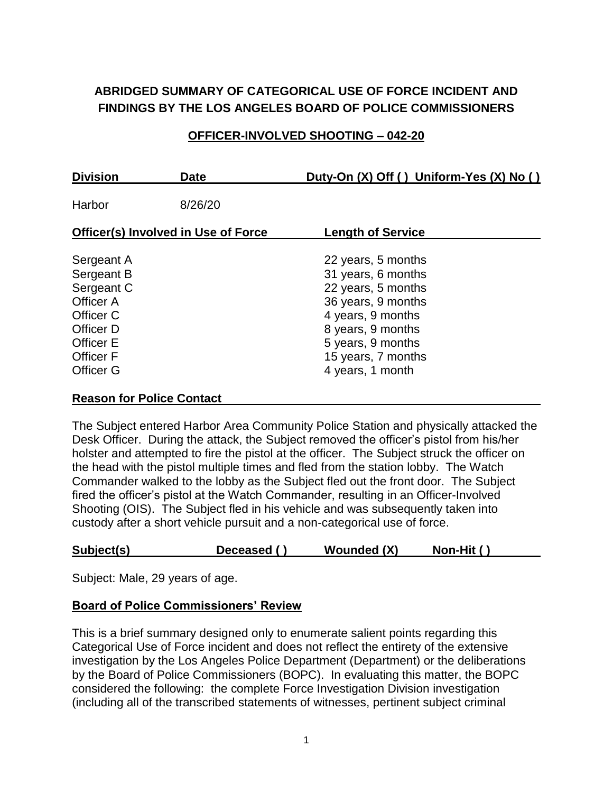# **ABRIDGED SUMMARY OF CATEGORICAL USE OF FORCE INCIDENT AND FINDINGS BY THE LOS ANGELES BOARD OF POLICE COMMISSIONERS**

## **OFFICER-INVOLVED SHOOTING – 042-20**

| <b>Division</b>                                                                                                                    | <b>Date</b> | Duty-On (X) Off () Uniform-Yes (X) No ()                                                                                                                                                      |  |  |
|------------------------------------------------------------------------------------------------------------------------------------|-------------|-----------------------------------------------------------------------------------------------------------------------------------------------------------------------------------------------|--|--|
| Harbor                                                                                                                             | 8/26/20     |                                                                                                                                                                                               |  |  |
| <b>Officer(s) Involved in Use of Force</b>                                                                                         |             | <b>Length of Service</b>                                                                                                                                                                      |  |  |
| Sergeant A<br>Sergeant B<br>Sergeant C<br>Officer A<br>Officer C<br>Officer D<br>Officer E<br><b>Officer F</b><br><b>Officer G</b> |             | 22 years, 5 months<br>31 years, 6 months<br>22 years, 5 months<br>36 years, 9 months<br>4 years, 9 months<br>8 years, 9 months<br>5 years, 9 months<br>15 years, 7 months<br>4 years, 1 month |  |  |

#### **Reason for Police Contact**

The Subject entered Harbor Area Community Police Station and physically attacked the Desk Officer. During the attack, the Subject removed the officer's pistol from his/her holster and attempted to fire the pistol at the officer. The Subject struck the officer on the head with the pistol multiple times and fled from the station lobby. The Watch Commander walked to the lobby as the Subject fled out the front door. The Subject fired the officer's pistol at the Watch Commander, resulting in an Officer-Involved Shooting (OIS). The Subject fled in his vehicle and was subsequently taken into custody after a short vehicle pursuit and a non-categorical use of force.

### **Subject(s) Deceased ( ) Wounded (X) Non-Hit ( )**

Subject: Male, 29 years of age.

### **Board of Police Commissioners' Review**

This is a brief summary designed only to enumerate salient points regarding this Categorical Use of Force incident and does not reflect the entirety of the extensive investigation by the Los Angeles Police Department (Department) or the deliberations by the Board of Police Commissioners (BOPC). In evaluating this matter, the BOPC considered the following: the complete Force Investigation Division investigation (including all of the transcribed statements of witnesses, pertinent subject criminal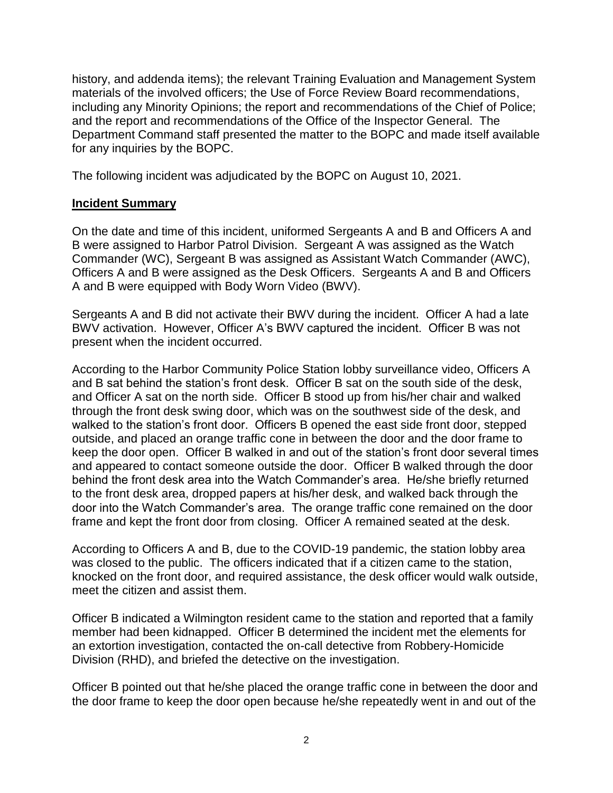history, and addenda items); the relevant Training Evaluation and Management System materials of the involved officers; the Use of Force Review Board recommendations, including any Minority Opinions; the report and recommendations of the Chief of Police; and the report and recommendations of the Office of the Inspector General. The Department Command staff presented the matter to the BOPC and made itself available for any inquiries by the BOPC.

The following incident was adjudicated by the BOPC on August 10, 2021.

### **Incident Summary**

On the date and time of this incident, uniformed Sergeants A and B and Officers A and B were assigned to Harbor Patrol Division. Sergeant A was assigned as the Watch Commander (WC), Sergeant B was assigned as Assistant Watch Commander (AWC), Officers A and B were assigned as the Desk Officers. Sergeants A and B and Officers A and B were equipped with Body Worn Video (BWV).

Sergeants A and B did not activate their BWV during the incident. Officer A had a late BWV activation. However, Officer A's BWV captured the incident. Officer B was not present when the incident occurred.

According to the Harbor Community Police Station lobby surveillance video, Officers A and B sat behind the station's front desk. Officer B sat on the south side of the desk, and Officer A sat on the north side. Officer B stood up from his/her chair and walked through the front desk swing door, which was on the southwest side of the desk, and walked to the station's front door. Officers B opened the east side front door, stepped outside, and placed an orange traffic cone in between the door and the door frame to keep the door open. Officer B walked in and out of the station's front door several times and appeared to contact someone outside the door. Officer B walked through the door behind the front desk area into the Watch Commander's area. He/she briefly returned to the front desk area, dropped papers at his/her desk, and walked back through the door into the Watch Commander's area. The orange traffic cone remained on the door frame and kept the front door from closing. Officer A remained seated at the desk.

According to Officers A and B, due to the COVID-19 pandemic, the station lobby area was closed to the public. The officers indicated that if a citizen came to the station, knocked on the front door, and required assistance, the desk officer would walk outside, meet the citizen and assist them.

Officer B indicated a Wilmington resident came to the station and reported that a family member had been kidnapped. Officer B determined the incident met the elements for an extortion investigation, contacted the on-call detective from Robbery-Homicide Division (RHD), and briefed the detective on the investigation.

Officer B pointed out that he/she placed the orange traffic cone in between the door and the door frame to keep the door open because he/she repeatedly went in and out of the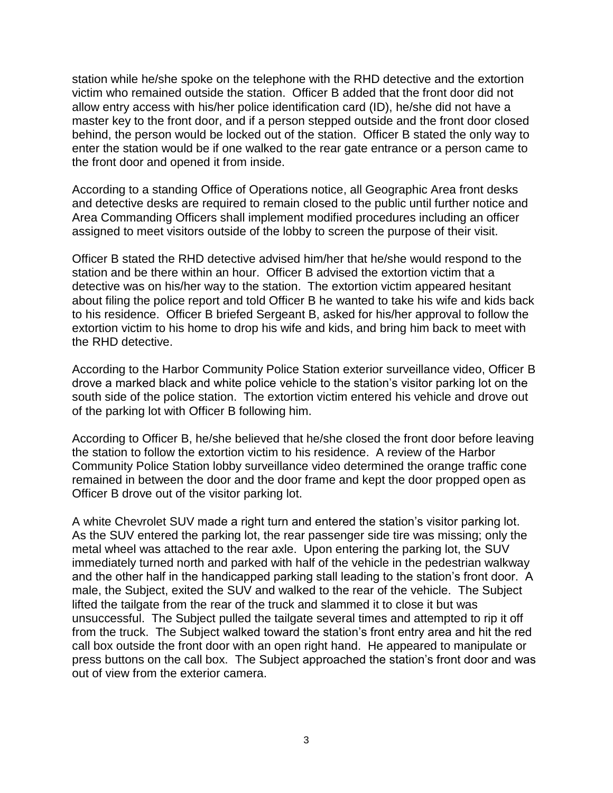station while he/she spoke on the telephone with the RHD detective and the extortion victim who remained outside the station. Officer B added that the front door did not allow entry access with his/her police identification card (ID), he/she did not have a master key to the front door, and if a person stepped outside and the front door closed behind, the person would be locked out of the station. Officer B stated the only way to enter the station would be if one walked to the rear gate entrance or a person came to the front door and opened it from inside.

According to a standing Office of Operations notice, all Geographic Area front desks and detective desks are required to remain closed to the public until further notice and Area Commanding Officers shall implement modified procedures including an officer assigned to meet visitors outside of the lobby to screen the purpose of their visit.

Officer B stated the RHD detective advised him/her that he/she would respond to the station and be there within an hour. Officer B advised the extortion victim that a detective was on his/her way to the station. The extortion victim appeared hesitant about filing the police report and told Officer B he wanted to take his wife and kids back to his residence. Officer B briefed Sergeant B, asked for his/her approval to follow the extortion victim to his home to drop his wife and kids, and bring him back to meet with the RHD detective.

According to the Harbor Community Police Station exterior surveillance video, Officer B drove a marked black and white police vehicle to the station's visitor parking lot on the south side of the police station. The extortion victim entered his vehicle and drove out of the parking lot with Officer B following him.

According to Officer B, he/she believed that he/she closed the front door before leaving the station to follow the extortion victim to his residence. A review of the Harbor Community Police Station lobby surveillance video determined the orange traffic cone remained in between the door and the door frame and kept the door propped open as Officer B drove out of the visitor parking lot.

A white Chevrolet SUV made a right turn and entered the station's visitor parking lot. As the SUV entered the parking lot, the rear passenger side tire was missing; only the metal wheel was attached to the rear axle. Upon entering the parking lot, the SUV immediately turned north and parked with half of the vehicle in the pedestrian walkway and the other half in the handicapped parking stall leading to the station's front door. A male, the Subject, exited the SUV and walked to the rear of the vehicle. The Subject lifted the tailgate from the rear of the truck and slammed it to close it but was unsuccessful. The Subject pulled the tailgate several times and attempted to rip it off from the truck. The Subject walked toward the station's front entry area and hit the red call box outside the front door with an open right hand. He appeared to manipulate or press buttons on the call box. The Subject approached the station's front door and was out of view from the exterior camera.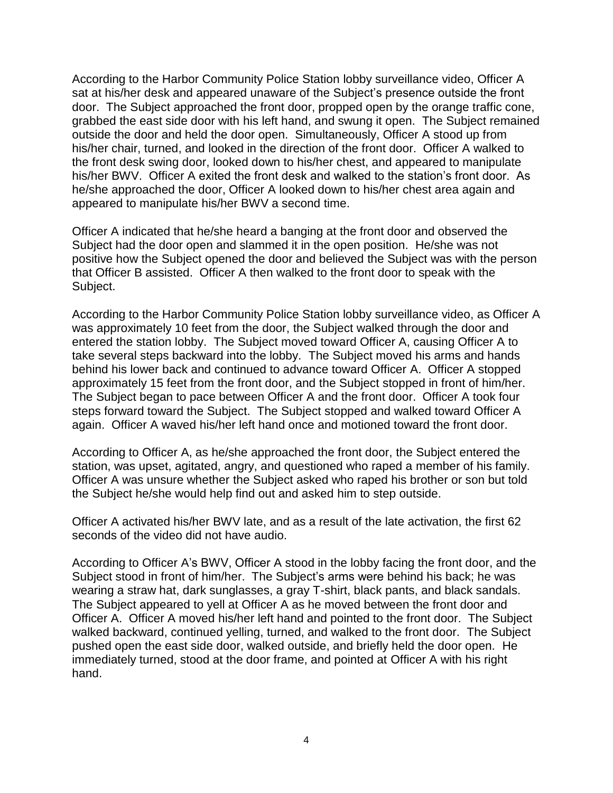According to the Harbor Community Police Station lobby surveillance video, Officer A sat at his/her desk and appeared unaware of the Subject's presence outside the front door. The Subject approached the front door, propped open by the orange traffic cone, grabbed the east side door with his left hand, and swung it open. The Subject remained outside the door and held the door open. Simultaneously, Officer A stood up from his/her chair, turned, and looked in the direction of the front door. Officer A walked to the front desk swing door, looked down to his/her chest, and appeared to manipulate his/her BWV. Officer A exited the front desk and walked to the station's front door. As he/she approached the door, Officer A looked down to his/her chest area again and appeared to manipulate his/her BWV a second time.

Officer A indicated that he/she heard a banging at the front door and observed the Subject had the door open and slammed it in the open position. He/she was not positive how the Subject opened the door and believed the Subject was with the person that Officer B assisted. Officer A then walked to the front door to speak with the Subject.

According to the Harbor Community Police Station lobby surveillance video, as Officer A was approximately 10 feet from the door, the Subject walked through the door and entered the station lobby. The Subject moved toward Officer A, causing Officer A to take several steps backward into the lobby. The Subject moved his arms and hands behind his lower back and continued to advance toward Officer A. Officer A stopped approximately 15 feet from the front door, and the Subject stopped in front of him/her. The Subject began to pace between Officer A and the front door. Officer A took four steps forward toward the Subject. The Subject stopped and walked toward Officer A again. Officer A waved his/her left hand once and motioned toward the front door.

According to Officer A, as he/she approached the front door, the Subject entered the station, was upset, agitated, angry, and questioned who raped a member of his family. Officer A was unsure whether the Subject asked who raped his brother or son but told the Subject he/she would help find out and asked him to step outside.

Officer A activated his/her BWV late, and as a result of the late activation, the first 62 seconds of the video did not have audio.

According to Officer A's BWV, Officer A stood in the lobby facing the front door, and the Subject stood in front of him/her. The Subject's arms were behind his back; he was wearing a straw hat, dark sunglasses, a gray T-shirt, black pants, and black sandals. The Subject appeared to yell at Officer A as he moved between the front door and Officer A. Officer A moved his/her left hand and pointed to the front door. The Subject walked backward, continued yelling, turned, and walked to the front door. The Subject pushed open the east side door, walked outside, and briefly held the door open. He immediately turned, stood at the door frame, and pointed at Officer A with his right hand.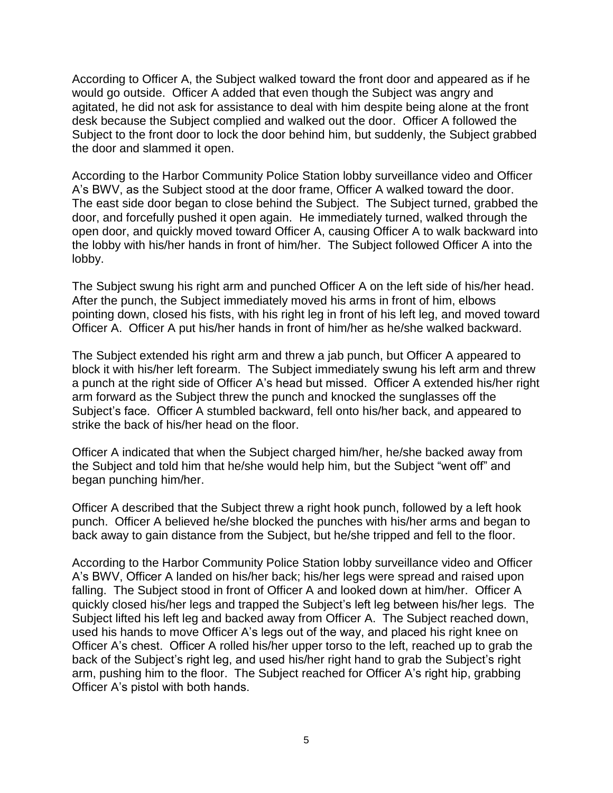According to Officer A, the Subject walked toward the front door and appeared as if he would go outside. Officer A added that even though the Subject was angry and agitated, he did not ask for assistance to deal with him despite being alone at the front desk because the Subject complied and walked out the door. Officer A followed the Subject to the front door to lock the door behind him, but suddenly, the Subject grabbed the door and slammed it open.

According to the Harbor Community Police Station lobby surveillance video and Officer A's BWV, as the Subject stood at the door frame, Officer A walked toward the door. The east side door began to close behind the Subject. The Subject turned, grabbed the door, and forcefully pushed it open again. He immediately turned, walked through the open door, and quickly moved toward Officer A, causing Officer A to walk backward into the lobby with his/her hands in front of him/her. The Subject followed Officer A into the lobby.

The Subject swung his right arm and punched Officer A on the left side of his/her head. After the punch, the Subject immediately moved his arms in front of him, elbows pointing down, closed his fists, with his right leg in front of his left leg, and moved toward Officer A. Officer A put his/her hands in front of him/her as he/she walked backward.

The Subject extended his right arm and threw a jab punch, but Officer A appeared to block it with his/her left forearm. The Subject immediately swung his left arm and threw a punch at the right side of Officer A's head but missed. Officer A extended his/her right arm forward as the Subject threw the punch and knocked the sunglasses off the Subject's face. Officer A stumbled backward, fell onto his/her back, and appeared to strike the back of his/her head on the floor.

Officer A indicated that when the Subject charged him/her, he/she backed away from the Subject and told him that he/she would help him, but the Subject "went off" and began punching him/her.

Officer A described that the Subject threw a right hook punch, followed by a left hook punch. Officer A believed he/she blocked the punches with his/her arms and began to back away to gain distance from the Subject, but he/she tripped and fell to the floor.

According to the Harbor Community Police Station lobby surveillance video and Officer A's BWV, Officer A landed on his/her back; his/her legs were spread and raised upon falling. The Subject stood in front of Officer A and looked down at him/her. Officer A quickly closed his/her legs and trapped the Subject's left leg between his/her legs. The Subject lifted his left leg and backed away from Officer A. The Subject reached down, used his hands to move Officer A's legs out of the way, and placed his right knee on Officer A's chest. Officer A rolled his/her upper torso to the left, reached up to grab the back of the Subject's right leg, and used his/her right hand to grab the Subject's right arm, pushing him to the floor. The Subject reached for Officer A's right hip, grabbing Officer A's pistol with both hands.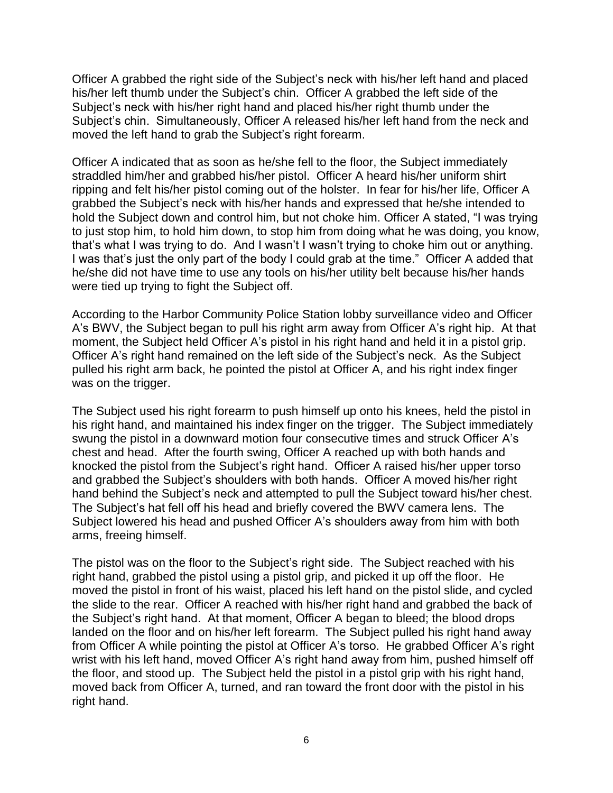Officer A grabbed the right side of the Subject's neck with his/her left hand and placed his/her left thumb under the Subject's chin. Officer A grabbed the left side of the Subject's neck with his/her right hand and placed his/her right thumb under the Subject's chin. Simultaneously, Officer A released his/her left hand from the neck and moved the left hand to grab the Subject's right forearm.

Officer A indicated that as soon as he/she fell to the floor, the Subject immediately straddled him/her and grabbed his/her pistol. Officer A heard his/her uniform shirt ripping and felt his/her pistol coming out of the holster. In fear for his/her life, Officer A grabbed the Subject's neck with his/her hands and expressed that he/she intended to hold the Subject down and control him, but not choke him. Officer A stated, "I was trying to just stop him, to hold him down, to stop him from doing what he was doing, you know, that's what I was trying to do. And I wasn't I wasn't trying to choke him out or anything. I was that's just the only part of the body I could grab at the time." Officer A added that he/she did not have time to use any tools on his/her utility belt because his/her hands were tied up trying to fight the Subject off.

According to the Harbor Community Police Station lobby surveillance video and Officer A's BWV, the Subject began to pull his right arm away from Officer A's right hip. At that moment, the Subject held Officer A's pistol in his right hand and held it in a pistol grip. Officer A's right hand remained on the left side of the Subject's neck. As the Subject pulled his right arm back, he pointed the pistol at Officer A, and his right index finger was on the trigger.

The Subject used his right forearm to push himself up onto his knees, held the pistol in his right hand, and maintained his index finger on the trigger. The Subject immediately swung the pistol in a downward motion four consecutive times and struck Officer A's chest and head. After the fourth swing, Officer A reached up with both hands and knocked the pistol from the Subject's right hand. Officer A raised his/her upper torso and grabbed the Subject's shoulders with both hands. Officer A moved his/her right hand behind the Subject's neck and attempted to pull the Subject toward his/her chest. The Subject's hat fell off his head and briefly covered the BWV camera lens. The Subject lowered his head and pushed Officer A's shoulders away from him with both arms, freeing himself.

The pistol was on the floor to the Subject's right side. The Subject reached with his right hand, grabbed the pistol using a pistol grip, and picked it up off the floor. He moved the pistol in front of his waist, placed his left hand on the pistol slide, and cycled the slide to the rear. Officer A reached with his/her right hand and grabbed the back of the Subject's right hand. At that moment, Officer A began to bleed; the blood drops landed on the floor and on his/her left forearm. The Subject pulled his right hand away from Officer A while pointing the pistol at Officer A's torso. He grabbed Officer A's right wrist with his left hand, moved Officer A's right hand away from him, pushed himself off the floor, and stood up. The Subject held the pistol in a pistol grip with his right hand, moved back from Officer A, turned, and ran toward the front door with the pistol in his right hand.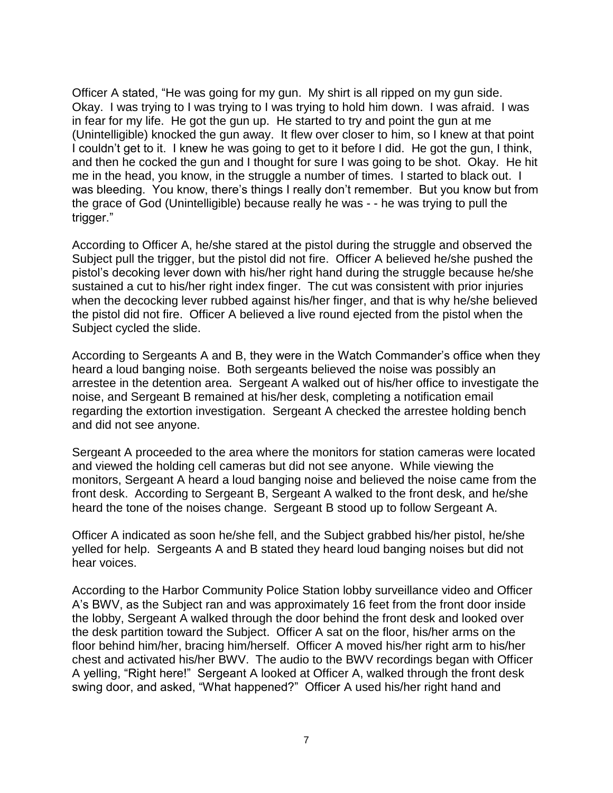Officer A stated, "He was going for my gun. My shirt is all ripped on my gun side. Okay. I was trying to I was trying to I was trying to hold him down. I was afraid. I was in fear for my life. He got the gun up. He started to try and point the gun at me (Unintelligible) knocked the gun away. It flew over closer to him, so I knew at that point I couldn't get to it. I knew he was going to get to it before I did. He got the gun, I think, and then he cocked the gun and I thought for sure I was going to be shot. Okay. He hit me in the head, you know, in the struggle a number of times. I started to black out. I was bleeding. You know, there's things I really don't remember. But you know but from the grace of God (Unintelligible) because really he was - - he was trying to pull the trigger."

According to Officer A, he/she stared at the pistol during the struggle and observed the Subject pull the trigger, but the pistol did not fire. Officer A believed he/she pushed the pistol's decoking lever down with his/her right hand during the struggle because he/she sustained a cut to his/her right index finger. The cut was consistent with prior injuries when the decocking lever rubbed against his/her finger, and that is why he/she believed the pistol did not fire. Officer A believed a live round ejected from the pistol when the Subject cycled the slide.

According to Sergeants A and B, they were in the Watch Commander's office when they heard a loud banging noise. Both sergeants believed the noise was possibly an arrestee in the detention area. Sergeant A walked out of his/her office to investigate the noise, and Sergeant B remained at his/her desk, completing a notification email regarding the extortion investigation. Sergeant A checked the arrestee holding bench and did not see anyone.

Sergeant A proceeded to the area where the monitors for station cameras were located and viewed the holding cell cameras but did not see anyone. While viewing the monitors, Sergeant A heard a loud banging noise and believed the noise came from the front desk. According to Sergeant B, Sergeant A walked to the front desk, and he/she heard the tone of the noises change. Sergeant B stood up to follow Sergeant A.

Officer A indicated as soon he/she fell, and the Subject grabbed his/her pistol, he/she yelled for help. Sergeants A and B stated they heard loud banging noises but did not hear voices.

According to the Harbor Community Police Station lobby surveillance video and Officer A's BWV, as the Subject ran and was approximately 16 feet from the front door inside the lobby, Sergeant A walked through the door behind the front desk and looked over the desk partition toward the Subject. Officer A sat on the floor, his/her arms on the floor behind him/her, bracing him/herself. Officer A moved his/her right arm to his/her chest and activated his/her BWV. The audio to the BWV recordings began with Officer A yelling, "Right here!" Sergeant A looked at Officer A, walked through the front desk swing door, and asked, "What happened?" Officer A used his/her right hand and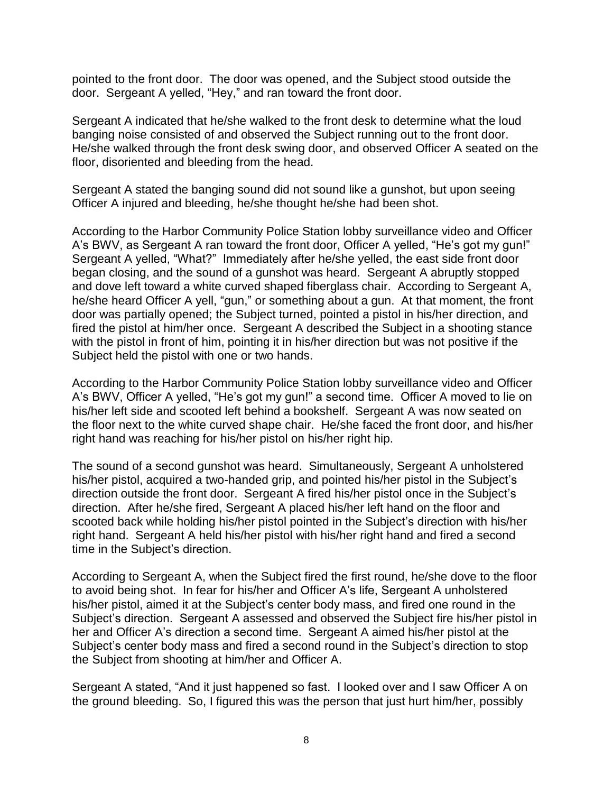pointed to the front door. The door was opened, and the Subject stood outside the door. Sergeant A yelled, "Hey," and ran toward the front door.

Sergeant A indicated that he/she walked to the front desk to determine what the loud banging noise consisted of and observed the Subject running out to the front door. He/she walked through the front desk swing door, and observed Officer A seated on the floor, disoriented and bleeding from the head.

Sergeant A stated the banging sound did not sound like a gunshot, but upon seeing Officer A injured and bleeding, he/she thought he/she had been shot.

According to the Harbor Community Police Station lobby surveillance video and Officer A's BWV, as Sergeant A ran toward the front door, Officer A yelled, "He's got my gun!" Sergeant A yelled, "What?" Immediately after he/she yelled, the east side front door began closing, and the sound of a gunshot was heard. Sergeant A abruptly stopped and dove left toward a white curved shaped fiberglass chair. According to Sergeant A, he/she heard Officer A yell, "gun," or something about a gun. At that moment, the front door was partially opened; the Subject turned, pointed a pistol in his/her direction, and fired the pistol at him/her once. Sergeant A described the Subject in a shooting stance with the pistol in front of him, pointing it in his/her direction but was not positive if the Subject held the pistol with one or two hands.

According to the Harbor Community Police Station lobby surveillance video and Officer A's BWV, Officer A yelled, "He's got my gun!" a second time. Officer A moved to lie on his/her left side and scooted left behind a bookshelf. Sergeant A was now seated on the floor next to the white curved shape chair. He/she faced the front door, and his/her right hand was reaching for his/her pistol on his/her right hip.

The sound of a second gunshot was heard. Simultaneously, Sergeant A unholstered his/her pistol, acquired a two-handed grip, and pointed his/her pistol in the Subject's direction outside the front door. Sergeant A fired his/her pistol once in the Subject's direction. After he/she fired, Sergeant A placed his/her left hand on the floor and scooted back while holding his/her pistol pointed in the Subject's direction with his/her right hand. Sergeant A held his/her pistol with his/her right hand and fired a second time in the Subject's direction.

According to Sergeant A, when the Subject fired the first round, he/she dove to the floor to avoid being shot. In fear for his/her and Officer A's life, Sergeant A unholstered his/her pistol, aimed it at the Subject's center body mass, and fired one round in the Subject's direction. Sergeant A assessed and observed the Subject fire his/her pistol in her and Officer A's direction a second time. Sergeant A aimed his/her pistol at the Subject's center body mass and fired a second round in the Subject's direction to stop the Subject from shooting at him/her and Officer A.

Sergeant A stated, "And it just happened so fast. I looked over and I saw Officer A on the ground bleeding. So, I figured this was the person that just hurt him/her, possibly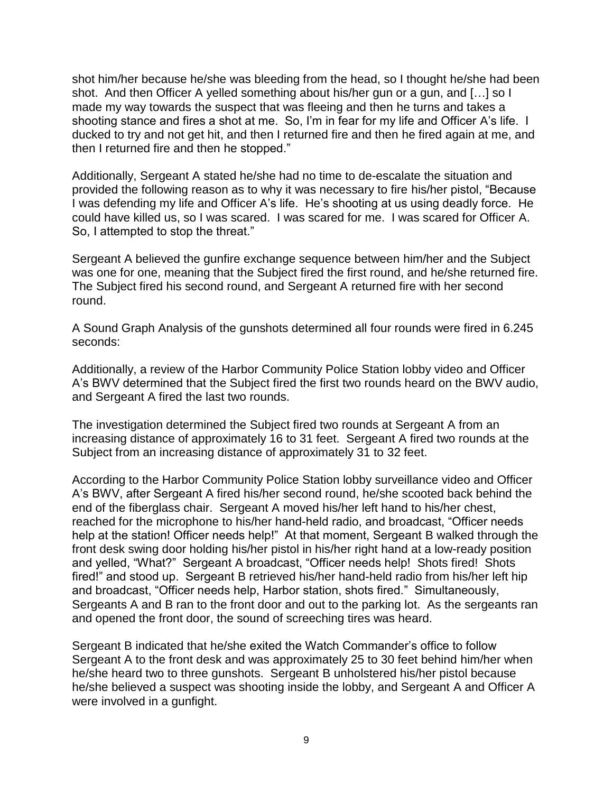shot him/her because he/she was bleeding from the head, so I thought he/she had been shot. And then Officer A yelled something about his/her gun or a gun, and […] so I made my way towards the suspect that was fleeing and then he turns and takes a shooting stance and fires a shot at me. So, I'm in fear for my life and Officer A's life. I ducked to try and not get hit, and then I returned fire and then he fired again at me, and then I returned fire and then he stopped."

Additionally, Sergeant A stated he/she had no time to de-escalate the situation and provided the following reason as to why it was necessary to fire his/her pistol, "Because I was defending my life and Officer A's life. He's shooting at us using deadly force. He could have killed us, so I was scared. I was scared for me. I was scared for Officer A. So, I attempted to stop the threat."

Sergeant A believed the gunfire exchange sequence between him/her and the Subject was one for one, meaning that the Subject fired the first round, and he/she returned fire. The Subject fired his second round, and Sergeant A returned fire with her second round.

A Sound Graph Analysis of the gunshots determined all four rounds were fired in 6.245 seconds:

Additionally, a review of the Harbor Community Police Station lobby video and Officer A's BWV determined that the Subject fired the first two rounds heard on the BWV audio, and Sergeant A fired the last two rounds.

The investigation determined the Subject fired two rounds at Sergeant A from an increasing distance of approximately 16 to 31 feet. Sergeant A fired two rounds at the Subject from an increasing distance of approximately 31 to 32 feet.

According to the Harbor Community Police Station lobby surveillance video and Officer A's BWV, after Sergeant A fired his/her second round, he/she scooted back behind the end of the fiberglass chair. Sergeant A moved his/her left hand to his/her chest, reached for the microphone to his/her hand-held radio, and broadcast, "Officer needs help at the station! Officer needs help!" At that moment, Sergeant B walked through the front desk swing door holding his/her pistol in his/her right hand at a low-ready position and yelled, "What?" Sergeant A broadcast, "Officer needs help! Shots fired! Shots fired!" and stood up. Sergeant B retrieved his/her hand-held radio from his/her left hip and broadcast, "Officer needs help, Harbor station, shots fired." Simultaneously, Sergeants A and B ran to the front door and out to the parking lot. As the sergeants ran and opened the front door, the sound of screeching tires was heard.

Sergeant B indicated that he/she exited the Watch Commander's office to follow Sergeant A to the front desk and was approximately 25 to 30 feet behind him/her when he/she heard two to three gunshots. Sergeant B unholstered his/her pistol because he/she believed a suspect was shooting inside the lobby, and Sergeant A and Officer A were involved in a gunfight.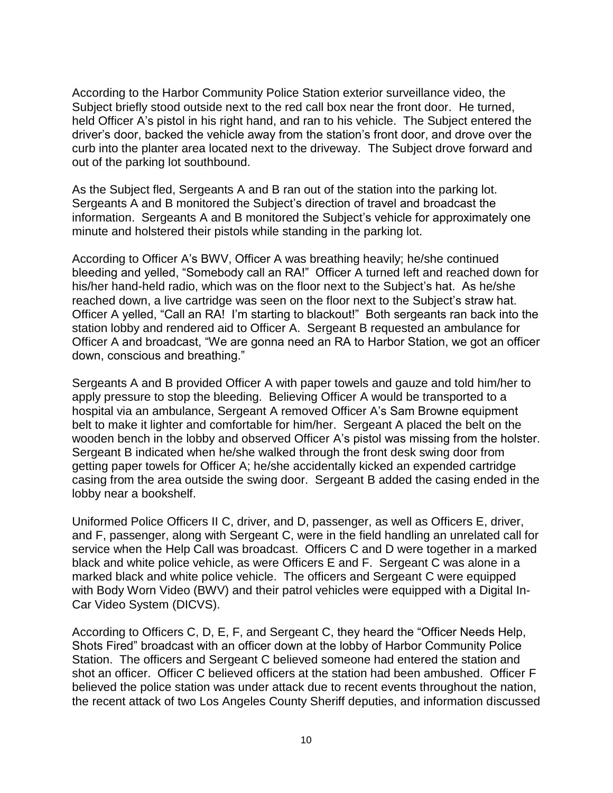According to the Harbor Community Police Station exterior surveillance video, the Subject briefly stood outside next to the red call box near the front door. He turned, held Officer A's pistol in his right hand, and ran to his vehicle. The Subject entered the driver's door, backed the vehicle away from the station's front door, and drove over the curb into the planter area located next to the driveway. The Subject drove forward and out of the parking lot southbound.

As the Subject fled, Sergeants A and B ran out of the station into the parking lot. Sergeants A and B monitored the Subject's direction of travel and broadcast the information. Sergeants A and B monitored the Subject's vehicle for approximately one minute and holstered their pistols while standing in the parking lot.

According to Officer A's BWV, Officer A was breathing heavily; he/she continued bleeding and yelled, "Somebody call an RA!" Officer A turned left and reached down for his/her hand-held radio, which was on the floor next to the Subject's hat. As he/she reached down, a live cartridge was seen on the floor next to the Subject's straw hat. Officer A yelled, "Call an RA! I'm starting to blackout!" Both sergeants ran back into the station lobby and rendered aid to Officer A. Sergeant B requested an ambulance for Officer A and broadcast, "We are gonna need an RA to Harbor Station, we got an officer down, conscious and breathing."

Sergeants A and B provided Officer A with paper towels and gauze and told him/her to apply pressure to stop the bleeding. Believing Officer A would be transported to a hospital via an ambulance, Sergeant A removed Officer A's Sam Browne equipment belt to make it lighter and comfortable for him/her. Sergeant A placed the belt on the wooden bench in the lobby and observed Officer A's pistol was missing from the holster. Sergeant B indicated when he/she walked through the front desk swing door from getting paper towels for Officer A; he/she accidentally kicked an expended cartridge casing from the area outside the swing door. Sergeant B added the casing ended in the lobby near a bookshelf.

Uniformed Police Officers II C, driver, and D, passenger, as well as Officers E, driver, and F, passenger, along with Sergeant C, were in the field handling an unrelated call for service when the Help Call was broadcast. Officers C and D were together in a marked black and white police vehicle, as were Officers E and F. Sergeant C was alone in a marked black and white police vehicle. The officers and Sergeant C were equipped with Body Worn Video (BWV) and their patrol vehicles were equipped with a Digital In-Car Video System (DICVS).

According to Officers C, D, E, F, and Sergeant C, they heard the "Officer Needs Help, Shots Fired" broadcast with an officer down at the lobby of Harbor Community Police Station. The officers and Sergeant C believed someone had entered the station and shot an officer. Officer C believed officers at the station had been ambushed. Officer F believed the police station was under attack due to recent events throughout the nation, the recent attack of two Los Angeles County Sheriff deputies, and information discussed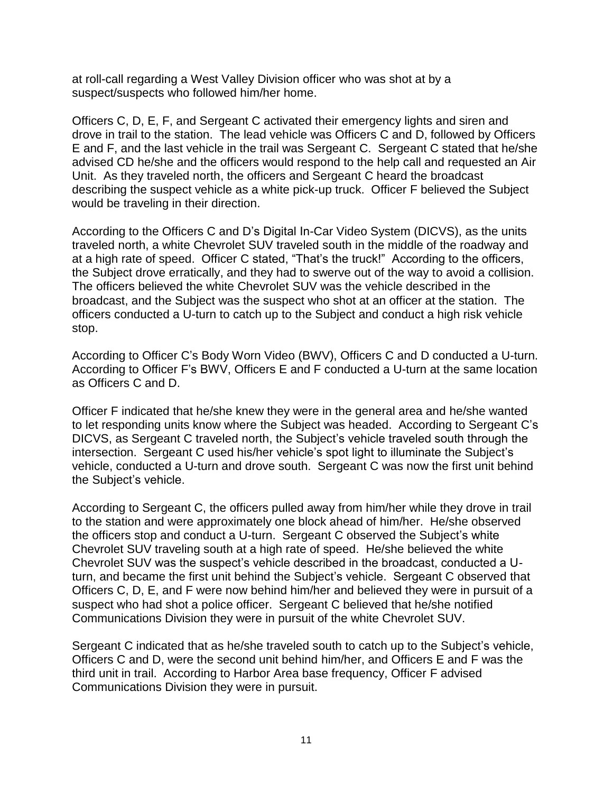at roll-call regarding a West Valley Division officer who was shot at by a suspect/suspects who followed him/her home.

Officers C, D, E, F, and Sergeant C activated their emergency lights and siren and drove in trail to the station. The lead vehicle was Officers C and D, followed by Officers E and F, and the last vehicle in the trail was Sergeant C. Sergeant C stated that he/she advised CD he/she and the officers would respond to the help call and requested an Air Unit. As they traveled north, the officers and Sergeant C heard the broadcast describing the suspect vehicle as a white pick-up truck. Officer F believed the Subject would be traveling in their direction.

According to the Officers C and D's Digital In-Car Video System (DICVS), as the units traveled north, a white Chevrolet SUV traveled south in the middle of the roadway and at a high rate of speed. Officer C stated, "That's the truck!" According to the officers, the Subject drove erratically, and they had to swerve out of the way to avoid a collision. The officers believed the white Chevrolet SUV was the vehicle described in the broadcast, and the Subject was the suspect who shot at an officer at the station. The officers conducted a U-turn to catch up to the Subject and conduct a high risk vehicle stop.

According to Officer C's Body Worn Video (BWV), Officers C and D conducted a U-turn. According to Officer F's BWV, Officers E and F conducted a U-turn at the same location as Officers C and D.

Officer F indicated that he/she knew they were in the general area and he/she wanted to let responding units know where the Subject was headed. According to Sergeant C's DICVS, as Sergeant C traveled north, the Subject's vehicle traveled south through the intersection. Sergeant C used his/her vehicle's spot light to illuminate the Subject's vehicle, conducted a U-turn and drove south. Sergeant C was now the first unit behind the Subject's vehicle.

According to Sergeant C, the officers pulled away from him/her while they drove in trail to the station and were approximately one block ahead of him/her. He/she observed the officers stop and conduct a U-turn. Sergeant C observed the Subject's white Chevrolet SUV traveling south at a high rate of speed. He/she believed the white Chevrolet SUV was the suspect's vehicle described in the broadcast, conducted a Uturn, and became the first unit behind the Subject's vehicle. Sergeant C observed that Officers C, D, E, and F were now behind him/her and believed they were in pursuit of a suspect who had shot a police officer. Sergeant C believed that he/she notified Communications Division they were in pursuit of the white Chevrolet SUV.

Sergeant C indicated that as he/she traveled south to catch up to the Subject's vehicle, Officers C and D, were the second unit behind him/her, and Officers E and F was the third unit in trail. According to Harbor Area base frequency, Officer F advised Communications Division they were in pursuit.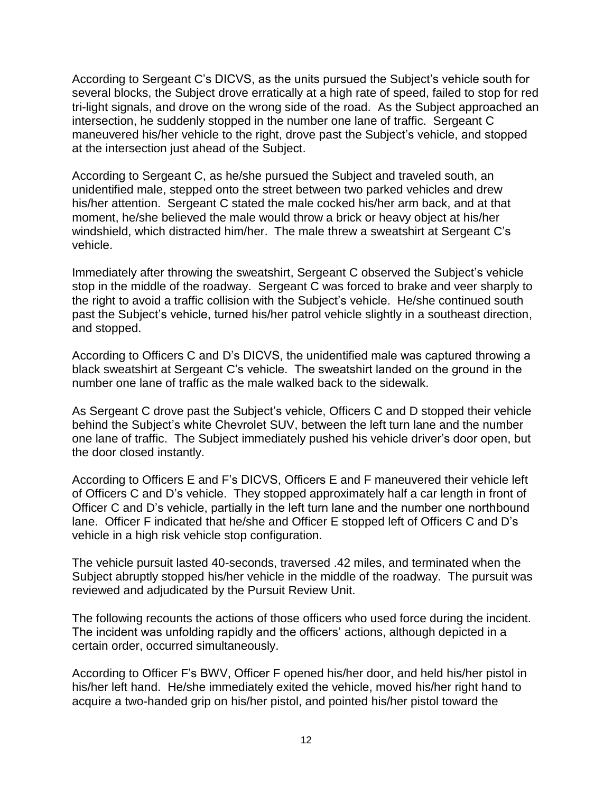According to Sergeant C's DICVS, as the units pursued the Subject's vehicle south for several blocks, the Subject drove erratically at a high rate of speed, failed to stop for red tri-light signals, and drove on the wrong side of the road. As the Subject approached an intersection, he suddenly stopped in the number one lane of traffic. Sergeant C maneuvered his/her vehicle to the right, drove past the Subject's vehicle, and stopped at the intersection just ahead of the Subject.

According to Sergeant C, as he/she pursued the Subject and traveled south, an unidentified male, stepped onto the street between two parked vehicles and drew his/her attention. Sergeant C stated the male cocked his/her arm back, and at that moment, he/she believed the male would throw a brick or heavy object at his/her windshield, which distracted him/her. The male threw a sweatshirt at Sergeant C's vehicle.

Immediately after throwing the sweatshirt, Sergeant C observed the Subject's vehicle stop in the middle of the roadway. Sergeant C was forced to brake and veer sharply to the right to avoid a traffic collision with the Subject's vehicle. He/she continued south past the Subject's vehicle, turned his/her patrol vehicle slightly in a southeast direction, and stopped.

According to Officers C and D's DICVS, the unidentified male was captured throwing a black sweatshirt at Sergeant C's vehicle. The sweatshirt landed on the ground in the number one lane of traffic as the male walked back to the sidewalk.

As Sergeant C drove past the Subject's vehicle, Officers C and D stopped their vehicle behind the Subject's white Chevrolet SUV, between the left turn lane and the number one lane of traffic. The Subject immediately pushed his vehicle driver's door open, but the door closed instantly.

According to Officers E and F's DICVS, Officers E and F maneuvered their vehicle left of Officers C and D's vehicle. They stopped approximately half a car length in front of Officer C and D's vehicle, partially in the left turn lane and the number one northbound lane. Officer F indicated that he/she and Officer E stopped left of Officers C and D's vehicle in a high risk vehicle stop configuration.

The vehicle pursuit lasted 40-seconds, traversed .42 miles, and terminated when the Subject abruptly stopped his/her vehicle in the middle of the roadway. The pursuit was reviewed and adjudicated by the Pursuit Review Unit.

The following recounts the actions of those officers who used force during the incident. The incident was unfolding rapidly and the officers' actions, although depicted in a certain order, occurred simultaneously.

According to Officer F's BWV, Officer F opened his/her door, and held his/her pistol in his/her left hand. He/she immediately exited the vehicle, moved his/her right hand to acquire a two-handed grip on his/her pistol, and pointed his/her pistol toward the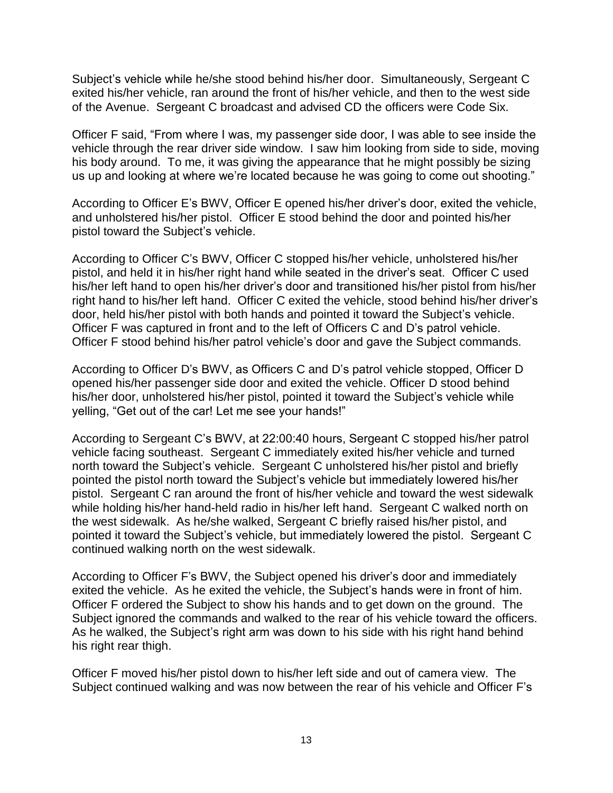Subject's vehicle while he/she stood behind his/her door. Simultaneously, Sergeant C exited his/her vehicle, ran around the front of his/her vehicle, and then to the west side of the Avenue. Sergeant C broadcast and advised CD the officers were Code Six.

Officer F said, "From where I was, my passenger side door, I was able to see inside the vehicle through the rear driver side window. I saw him looking from side to side, moving his body around. To me, it was giving the appearance that he might possibly be sizing us up and looking at where we're located because he was going to come out shooting."

According to Officer E's BWV, Officer E opened his/her driver's door, exited the vehicle, and unholstered his/her pistol. Officer E stood behind the door and pointed his/her pistol toward the Subject's vehicle.

According to Officer C's BWV, Officer C stopped his/her vehicle, unholstered his/her pistol, and held it in his/her right hand while seated in the driver's seat. Officer C used his/her left hand to open his/her driver's door and transitioned his/her pistol from his/her right hand to his/her left hand. Officer C exited the vehicle, stood behind his/her driver's door, held his/her pistol with both hands and pointed it toward the Subject's vehicle. Officer F was captured in front and to the left of Officers C and D's patrol vehicle. Officer F stood behind his/her patrol vehicle's door and gave the Subject commands.

According to Officer D's BWV, as Officers C and D's patrol vehicle stopped, Officer D opened his/her passenger side door and exited the vehicle. Officer D stood behind his/her door, unholstered his/her pistol, pointed it toward the Subject's vehicle while yelling, "Get out of the car! Let me see your hands!"

According to Sergeant C's BWV, at 22:00:40 hours, Sergeant C stopped his/her patrol vehicle facing southeast. Sergeant C immediately exited his/her vehicle and turned north toward the Subject's vehicle. Sergeant C unholstered his/her pistol and briefly pointed the pistol north toward the Subject's vehicle but immediately lowered his/her pistol. Sergeant C ran around the front of his/her vehicle and toward the west sidewalk while holding his/her hand-held radio in his/her left hand. Sergeant C walked north on the west sidewalk. As he/she walked, Sergeant C briefly raised his/her pistol, and pointed it toward the Subject's vehicle, but immediately lowered the pistol. Sergeant C continued walking north on the west sidewalk.

According to Officer F's BWV, the Subject opened his driver's door and immediately exited the vehicle. As he exited the vehicle, the Subject's hands were in front of him. Officer F ordered the Subject to show his hands and to get down on the ground. The Subject ignored the commands and walked to the rear of his vehicle toward the officers. As he walked, the Subject's right arm was down to his side with his right hand behind his right rear thigh.

Officer F moved his/her pistol down to his/her left side and out of camera view. The Subject continued walking and was now between the rear of his vehicle and Officer F's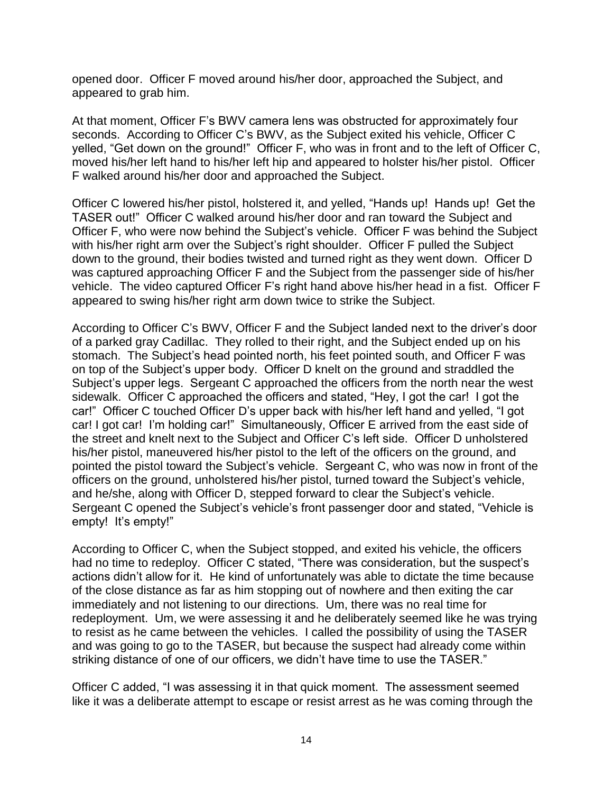opened door. Officer F moved around his/her door, approached the Subject, and appeared to grab him.

At that moment, Officer F's BWV camera lens was obstructed for approximately four seconds. According to Officer C's BWV, as the Subject exited his vehicle, Officer C yelled, "Get down on the ground!" Officer F, who was in front and to the left of Officer C, moved his/her left hand to his/her left hip and appeared to holster his/her pistol. Officer F walked around his/her door and approached the Subject.

Officer C lowered his/her pistol, holstered it, and yelled, "Hands up! Hands up! Get the TASER out!" Officer C walked around his/her door and ran toward the Subject and Officer F, who were now behind the Subject's vehicle. Officer F was behind the Subject with his/her right arm over the Subject's right shoulder. Officer F pulled the Subject down to the ground, their bodies twisted and turned right as they went down. Officer D was captured approaching Officer F and the Subject from the passenger side of his/her vehicle. The video captured Officer F's right hand above his/her head in a fist. Officer F appeared to swing his/her right arm down twice to strike the Subject.

According to Officer C's BWV, Officer F and the Subject landed next to the driver's door of a parked gray Cadillac. They rolled to their right, and the Subject ended up on his stomach. The Subject's head pointed north, his feet pointed south, and Officer F was on top of the Subject's upper body. Officer D knelt on the ground and straddled the Subject's upper legs. Sergeant C approached the officers from the north near the west sidewalk. Officer C approached the officers and stated, "Hey, I got the car! I got the car!" Officer C touched Officer D's upper back with his/her left hand and yelled, "I got car! I got car! I'm holding car!" Simultaneously, Officer E arrived from the east side of the street and knelt next to the Subject and Officer C's left side. Officer D unholstered his/her pistol, maneuvered his/her pistol to the left of the officers on the ground, and pointed the pistol toward the Subject's vehicle. Sergeant C, who was now in front of the officers on the ground, unholstered his/her pistol, turned toward the Subject's vehicle, and he/she, along with Officer D, stepped forward to clear the Subject's vehicle. Sergeant C opened the Subject's vehicle's front passenger door and stated, "Vehicle is empty! It's empty!"

According to Officer C, when the Subject stopped, and exited his vehicle, the officers had no time to redeploy. Officer C stated, "There was consideration, but the suspect's actions didn't allow for it. He kind of unfortunately was able to dictate the time because of the close distance as far as him stopping out of nowhere and then exiting the car immediately and not listening to our directions. Um, there was no real time for redeployment. Um, we were assessing it and he deliberately seemed like he was trying to resist as he came between the vehicles. I called the possibility of using the TASER and was going to go to the TASER, but because the suspect had already come within striking distance of one of our officers, we didn't have time to use the TASER."

Officer C added, "I was assessing it in that quick moment. The assessment seemed like it was a deliberate attempt to escape or resist arrest as he was coming through the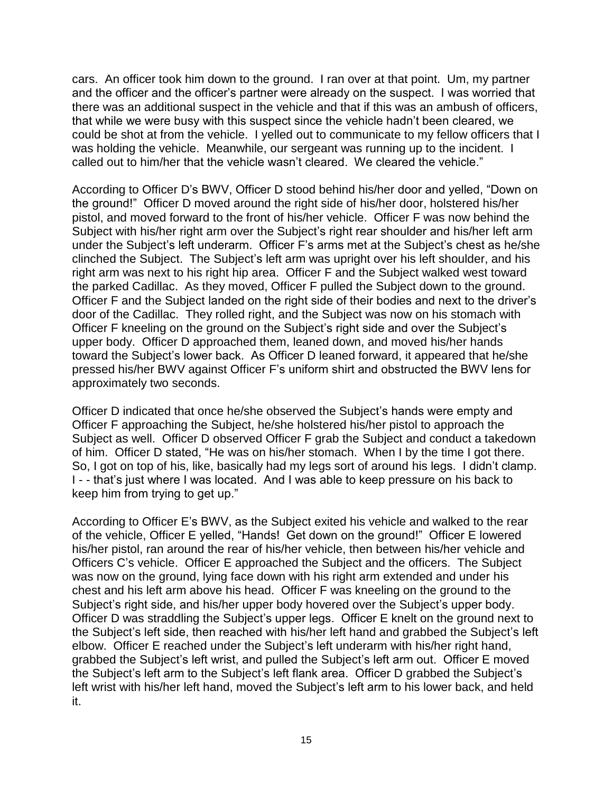cars. An officer took him down to the ground. I ran over at that point. Um, my partner and the officer and the officer's partner were already on the suspect. I was worried that there was an additional suspect in the vehicle and that if this was an ambush of officers, that while we were busy with this suspect since the vehicle hadn't been cleared, we could be shot at from the vehicle. I yelled out to communicate to my fellow officers that I was holding the vehicle. Meanwhile, our sergeant was running up to the incident. I called out to him/her that the vehicle wasn't cleared. We cleared the vehicle."

According to Officer D's BWV, Officer D stood behind his/her door and yelled, "Down on the ground!" Officer D moved around the right side of his/her door, holstered his/her pistol, and moved forward to the front of his/her vehicle. Officer F was now behind the Subject with his/her right arm over the Subject's right rear shoulder and his/her left arm under the Subject's left underarm. Officer F's arms met at the Subject's chest as he/she clinched the Subject. The Subject's left arm was upright over his left shoulder, and his right arm was next to his right hip area. Officer F and the Subject walked west toward the parked Cadillac. As they moved, Officer F pulled the Subject down to the ground. Officer F and the Subject landed on the right side of their bodies and next to the driver's door of the Cadillac. They rolled right, and the Subject was now on his stomach with Officer F kneeling on the ground on the Subject's right side and over the Subject's upper body. Officer D approached them, leaned down, and moved his/her hands toward the Subject's lower back. As Officer D leaned forward, it appeared that he/she pressed his/her BWV against Officer F's uniform shirt and obstructed the BWV lens for approximately two seconds.

Officer D indicated that once he/she observed the Subject's hands were empty and Officer F approaching the Subject, he/she holstered his/her pistol to approach the Subject as well. Officer D observed Officer F grab the Subject and conduct a takedown of him. Officer D stated, "He was on his/her stomach. When I by the time I got there. So, I got on top of his, like, basically had my legs sort of around his legs. I didn't clamp. I - - that's just where I was located. And I was able to keep pressure on his back to keep him from trying to get up."

According to Officer E's BWV, as the Subject exited his vehicle and walked to the rear of the vehicle, Officer E yelled, "Hands! Get down on the ground!" Officer E lowered his/her pistol, ran around the rear of his/her vehicle, then between his/her vehicle and Officers C's vehicle. Officer E approached the Subject and the officers. The Subject was now on the ground, lying face down with his right arm extended and under his chest and his left arm above his head. Officer F was kneeling on the ground to the Subject's right side, and his/her upper body hovered over the Subject's upper body. Officer D was straddling the Subject's upper legs. Officer E knelt on the ground next to the Subject's left side, then reached with his/her left hand and grabbed the Subject's left elbow. Officer E reached under the Subject's left underarm with his/her right hand, grabbed the Subject's left wrist, and pulled the Subject's left arm out. Officer E moved the Subject's left arm to the Subject's left flank area. Officer D grabbed the Subject's left wrist with his/her left hand, moved the Subject's left arm to his lower back, and held it.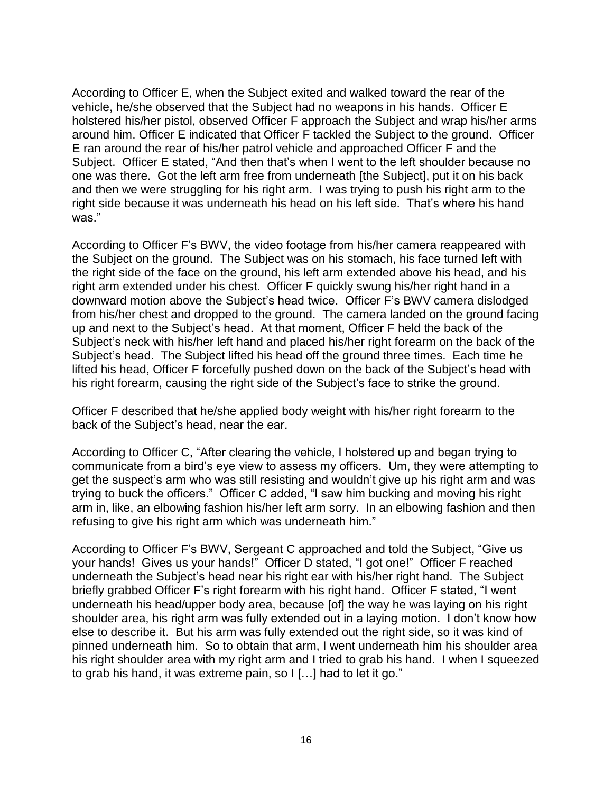According to Officer E, when the Subject exited and walked toward the rear of the vehicle, he/she observed that the Subject had no weapons in his hands. Officer E holstered his/her pistol, observed Officer F approach the Subject and wrap his/her arms around him. Officer E indicated that Officer F tackled the Subject to the ground. Officer E ran around the rear of his/her patrol vehicle and approached Officer F and the Subject. Officer E stated, "And then that's when I went to the left shoulder because no one was there. Got the left arm free from underneath [the Subject], put it on his back and then we were struggling for his right arm. I was trying to push his right arm to the right side because it was underneath his head on his left side. That's where his hand was."

According to Officer F's BWV, the video footage from his/her camera reappeared with the Subject on the ground. The Subject was on his stomach, his face turned left with the right side of the face on the ground, his left arm extended above his head, and his right arm extended under his chest. Officer F quickly swung his/her right hand in a downward motion above the Subject's head twice. Officer F's BWV camera dislodged from his/her chest and dropped to the ground. The camera landed on the ground facing up and next to the Subject's head. At that moment, Officer F held the back of the Subject's neck with his/her left hand and placed his/her right forearm on the back of the Subject's head. The Subject lifted his head off the ground three times. Each time he lifted his head, Officer F forcefully pushed down on the back of the Subject's head with his right forearm, causing the right side of the Subject's face to strike the ground.

Officer F described that he/she applied body weight with his/her right forearm to the back of the Subject's head, near the ear.

According to Officer C, "After clearing the vehicle, I holstered up and began trying to communicate from a bird's eye view to assess my officers. Um, they were attempting to get the suspect's arm who was still resisting and wouldn't give up his right arm and was trying to buck the officers." Officer C added, "I saw him bucking and moving his right arm in, like, an elbowing fashion his/her left arm sorry. In an elbowing fashion and then refusing to give his right arm which was underneath him."

According to Officer F's BWV, Sergeant C approached and told the Subject, "Give us your hands! Gives us your hands!" Officer D stated, "I got one!" Officer F reached underneath the Subject's head near his right ear with his/her right hand. The Subject briefly grabbed Officer F's right forearm with his right hand. Officer F stated, "I went underneath his head/upper body area, because [of] the way he was laying on his right shoulder area, his right arm was fully extended out in a laying motion. I don't know how else to describe it. But his arm was fully extended out the right side, so it was kind of pinned underneath him. So to obtain that arm, I went underneath him his shoulder area his right shoulder area with my right arm and I tried to grab his hand. I when I squeezed to grab his hand, it was extreme pain, so I […] had to let it go."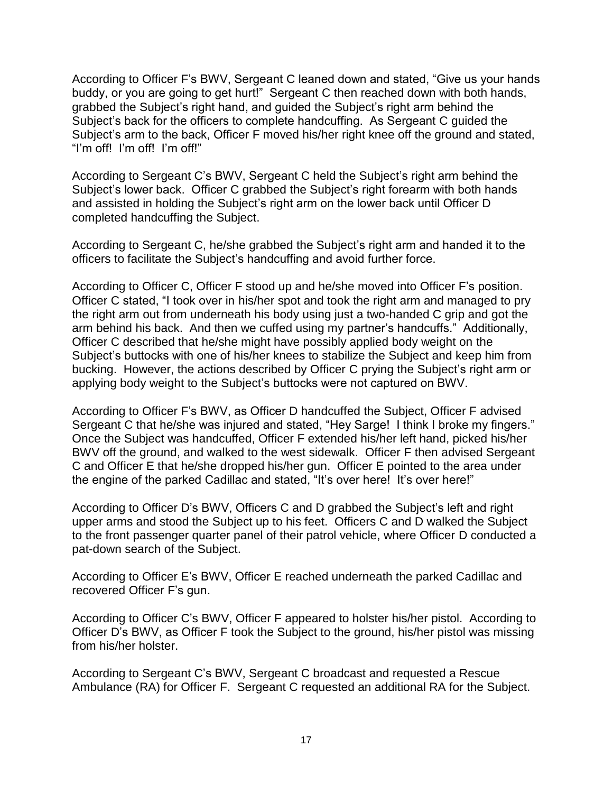According to Officer F's BWV, Sergeant C leaned down and stated, "Give us your hands buddy, or you are going to get hurt!" Sergeant C then reached down with both hands, grabbed the Subject's right hand, and guided the Subject's right arm behind the Subject's back for the officers to complete handcuffing. As Sergeant C guided the Subject's arm to the back, Officer F moved his/her right knee off the ground and stated, "I'm off! I'm off! I'm off!"

According to Sergeant C's BWV, Sergeant C held the Subject's right arm behind the Subject's lower back. Officer C grabbed the Subject's right forearm with both hands and assisted in holding the Subject's right arm on the lower back until Officer D completed handcuffing the Subject.

According to Sergeant C, he/she grabbed the Subject's right arm and handed it to the officers to facilitate the Subject's handcuffing and avoid further force.

According to Officer C, Officer F stood up and he/she moved into Officer F's position. Officer C stated, "I took over in his/her spot and took the right arm and managed to pry the right arm out from underneath his body using just a two-handed C grip and got the arm behind his back. And then we cuffed using my partner's handcuffs." Additionally, Officer C described that he/she might have possibly applied body weight on the Subject's buttocks with one of his/her knees to stabilize the Subject and keep him from bucking. However, the actions described by Officer C prying the Subject's right arm or applying body weight to the Subject's buttocks were not captured on BWV.

According to Officer F's BWV, as Officer D handcuffed the Subject, Officer F advised Sergeant C that he/she was injured and stated, "Hey Sarge! I think I broke my fingers." Once the Subject was handcuffed, Officer F extended his/her left hand, picked his/her BWV off the ground, and walked to the west sidewalk. Officer F then advised Sergeant C and Officer E that he/she dropped his/her gun. Officer E pointed to the area under the engine of the parked Cadillac and stated, "It's over here! It's over here!"

According to Officer D's BWV, Officers C and D grabbed the Subject's left and right upper arms and stood the Subject up to his feet. Officers C and D walked the Subject to the front passenger quarter panel of their patrol vehicle, where Officer D conducted a pat-down search of the Subject.

According to Officer E's BWV, Officer E reached underneath the parked Cadillac and recovered Officer F's gun.

According to Officer C's BWV, Officer F appeared to holster his/her pistol. According to Officer D's BWV, as Officer F took the Subject to the ground, his/her pistol was missing from his/her holster.

According to Sergeant C's BWV, Sergeant C broadcast and requested a Rescue Ambulance (RA) for Officer F. Sergeant C requested an additional RA for the Subject.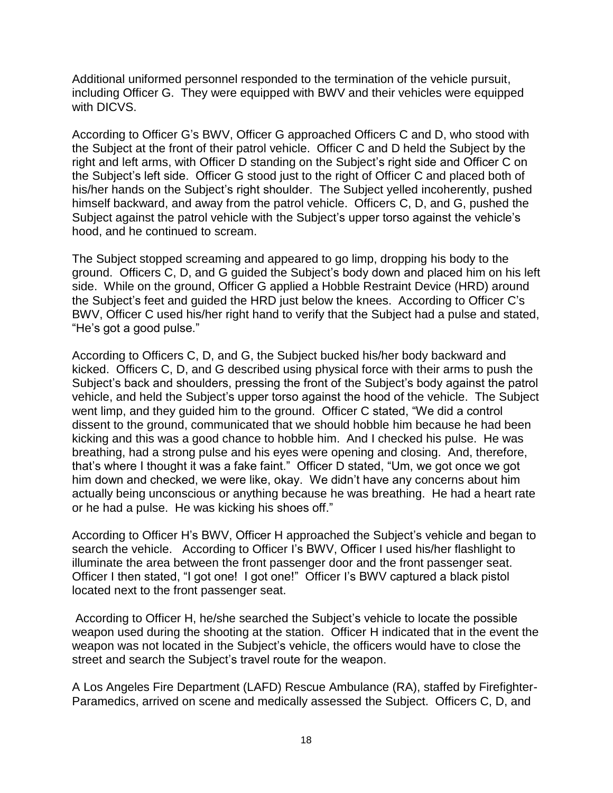Additional uniformed personnel responded to the termination of the vehicle pursuit, including Officer G. They were equipped with BWV and their vehicles were equipped with DICVS.

According to Officer G's BWV, Officer G approached Officers C and D, who stood with the Subject at the front of their patrol vehicle. Officer C and D held the Subject by the right and left arms, with Officer D standing on the Subject's right side and Officer C on the Subject's left side. Officer G stood just to the right of Officer C and placed both of his/her hands on the Subject's right shoulder. The Subject yelled incoherently, pushed himself backward, and away from the patrol vehicle. Officers C, D, and G, pushed the Subject against the patrol vehicle with the Subject's upper torso against the vehicle's hood, and he continued to scream.

The Subject stopped screaming and appeared to go limp, dropping his body to the ground. Officers C, D, and G guided the Subject's body down and placed him on his left side. While on the ground, Officer G applied a Hobble Restraint Device (HRD) around the Subject's feet and guided the HRD just below the knees. According to Officer C's BWV, Officer C used his/her right hand to verify that the Subject had a pulse and stated, "He's got a good pulse."

According to Officers C, D, and G, the Subject bucked his/her body backward and kicked. Officers C, D, and G described using physical force with their arms to push the Subject's back and shoulders, pressing the front of the Subject's body against the patrol vehicle, and held the Subject's upper torso against the hood of the vehicle. The Subject went limp, and they guided him to the ground. Officer C stated, "We did a control dissent to the ground, communicated that we should hobble him because he had been kicking and this was a good chance to hobble him. And I checked his pulse. He was breathing, had a strong pulse and his eyes were opening and closing. And, therefore, that's where I thought it was a fake faint." Officer D stated, "Um, we got once we got him down and checked, we were like, okay. We didn't have any concerns about him actually being unconscious or anything because he was breathing. He had a heart rate or he had a pulse. He was kicking his shoes off."

According to Officer H's BWV, Officer H approached the Subject's vehicle and began to search the vehicle. According to Officer I's BWV, Officer I used his/her flashlight to illuminate the area between the front passenger door and the front passenger seat. Officer I then stated, "I got one! I got one!" Officer I's BWV captured a black pistol located next to the front passenger seat.

According to Officer H, he/she searched the Subject's vehicle to locate the possible weapon used during the shooting at the station. Officer H indicated that in the event the weapon was not located in the Subject's vehicle, the officers would have to close the street and search the Subject's travel route for the weapon.

A Los Angeles Fire Department (LAFD) Rescue Ambulance (RA), staffed by Firefighter-Paramedics, arrived on scene and medically assessed the Subject. Officers C, D, and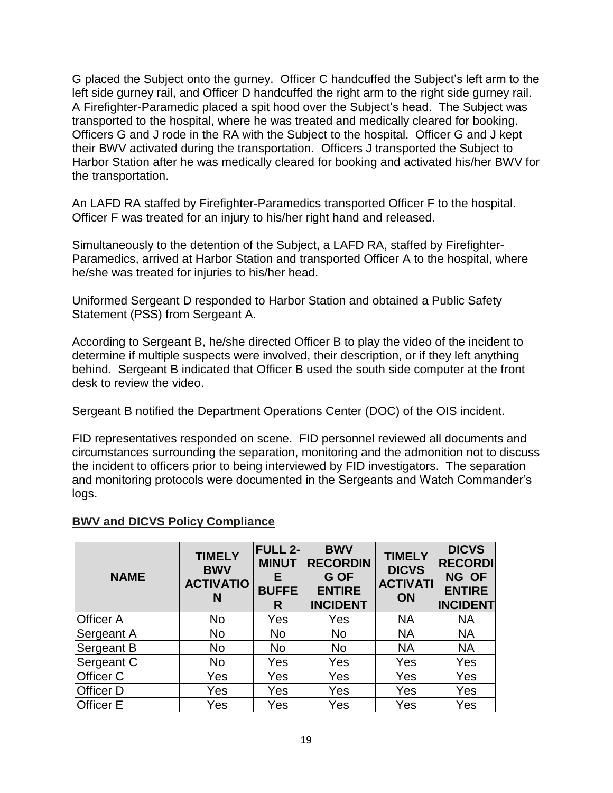G placed the Subject onto the gurney. Officer C handcuffed the Subject's left arm to the left side gurney rail, and Officer D handcuffed the right arm to the right side gurney rail. A Firefighter-Paramedic placed a spit hood over the Subject's head. The Subject was transported to the hospital, where he was treated and medically cleared for booking. Officers G and J rode in the RA with the Subject to the hospital. Officer G and J kept their BWV activated during the transportation. Officers J transported the Subject to Harbor Station after he was medically cleared for booking and activated his/her BWV for the transportation.

An LAFD RA staffed by Firefighter-Paramedics transported Officer F to the hospital. Officer F was treated for an injury to his/her right hand and released.

Simultaneously to the detention of the Subject, a LAFD RA, staffed by Firefighter-Paramedics, arrived at Harbor Station and transported Officer A to the hospital, where he/she was treated for injuries to his/her head.

Uniformed Sergeant D responded to Harbor Station and obtained a Public Safety Statement (PSS) from Sergeant A.

According to Sergeant B, he/she directed Officer B to play the video of the incident to determine if multiple suspects were involved, their description, or if they left anything behind. Sergeant B indicated that Officer B used the south side computer at the front desk to review the video.

Sergeant B notified the Department Operations Center (DOC) of the OIS incident.

FID representatives responded on scene. FID personnel reviewed all documents and circumstances surrounding the separation, monitoring and the admonition not to discuss the incident to officers prior to being interviewed by FID investigators. The separation and monitoring protocols were documented in the Sergeants and Watch Commander's logs.

#### **BWV and DICVS Policy Compliance**

| <b>NAME</b>      | <b>TIMELY</b><br><b>BWV</b><br><b>ACTIVATIO</b><br>N | <b>FULL 2-</b><br><b>MINUT</b><br>E<br><b>BUFFE</b><br>R | <b>BWV</b><br><b>RECORDIN</b><br>G OF<br><b>ENTIRE</b><br><b>INCIDENT</b> | <b>TIMELY</b><br><b>DICVS</b><br><b>ACTIVATI</b><br>ON | <b>DICVS</b><br><b>RECORDI</b><br>NG OF<br><b>ENTIRE</b><br><b>INCIDENT</b> |
|------------------|------------------------------------------------------|----------------------------------------------------------|---------------------------------------------------------------------------|--------------------------------------------------------|-----------------------------------------------------------------------------|
| <b>Officer A</b> | <b>No</b>                                            | Yes                                                      | Yes                                                                       | <b>NA</b>                                              | <b>NA</b>                                                                   |
| Sergeant A       | <b>No</b>                                            | No                                                       | <b>No</b>                                                                 | <b>NA</b>                                              | <b>NA</b>                                                                   |
| Sergeant B       | <b>No</b>                                            | No                                                       | <b>No</b>                                                                 | <b>NA</b>                                              | <b>NA</b>                                                                   |
| Sergeant C       | No                                                   | Yes                                                      | Yes                                                                       | Yes                                                    | Yes                                                                         |
| <b>Officer C</b> | Yes                                                  | Yes                                                      | Yes                                                                       | Yes                                                    | Yes                                                                         |
| <b>Officer D</b> | Yes                                                  | Yes                                                      | Yes                                                                       | Yes                                                    | Yes                                                                         |
| <b>Officer E</b> | Yes                                                  | Yes                                                      | Yes                                                                       | Yes                                                    | Yes                                                                         |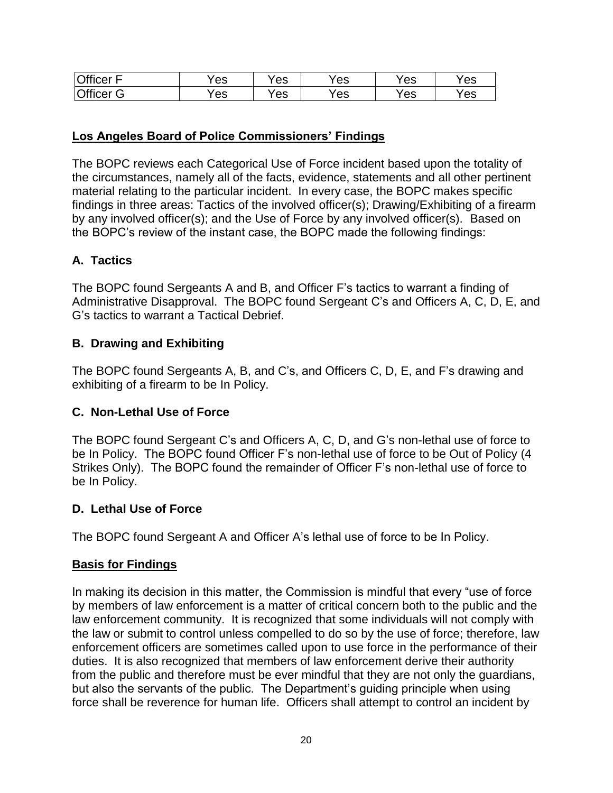| <b>Officer</b><br>-      | Έs  | es | Y es | Yes | Yes |
|--------------------------|-----|----|------|-----|-----|
| <b>Officer</b><br>⌒<br>ت | 'es | es | es'  | Yes | 'es |

## **Los Angeles Board of Police Commissioners' Findings**

The BOPC reviews each Categorical Use of Force incident based upon the totality of the circumstances, namely all of the facts, evidence, statements and all other pertinent material relating to the particular incident. In every case, the BOPC makes specific findings in three areas: Tactics of the involved officer(s); Drawing/Exhibiting of a firearm by any involved officer(s); and the Use of Force by any involved officer(s). Based on the BOPC's review of the instant case, the BOPC made the following findings:

## **A. Tactics**

The BOPC found Sergeants A and B, and Officer F's tactics to warrant a finding of Administrative Disapproval. The BOPC found Sergeant C's and Officers A, C, D, E, and G's tactics to warrant a Tactical Debrief.

### **B. Drawing and Exhibiting**

The BOPC found Sergeants A, B, and C's, and Officers C, D, E, and F's drawing and exhibiting of a firearm to be In Policy.

### **C. Non-Lethal Use of Force**

The BOPC found Sergeant C's and Officers A, C, D, and G's non-lethal use of force to be In Policy. The BOPC found Officer F's non-lethal use of force to be Out of Policy (4 Strikes Only). The BOPC found the remainder of Officer F's non-lethal use of force to be In Policy.

### **D. Lethal Use of Force**

The BOPC found Sergeant A and Officer A's lethal use of force to be In Policy.

### **Basis for Findings**

In making its decision in this matter, the Commission is mindful that every "use of force by members of law enforcement is a matter of critical concern both to the public and the law enforcement community. It is recognized that some individuals will not comply with the law or submit to control unless compelled to do so by the use of force; therefore, law enforcement officers are sometimes called upon to use force in the performance of their duties. It is also recognized that members of law enforcement derive their authority from the public and therefore must be ever mindful that they are not only the guardians, but also the servants of the public. The Department's guiding principle when using force shall be reverence for human life. Officers shall attempt to control an incident by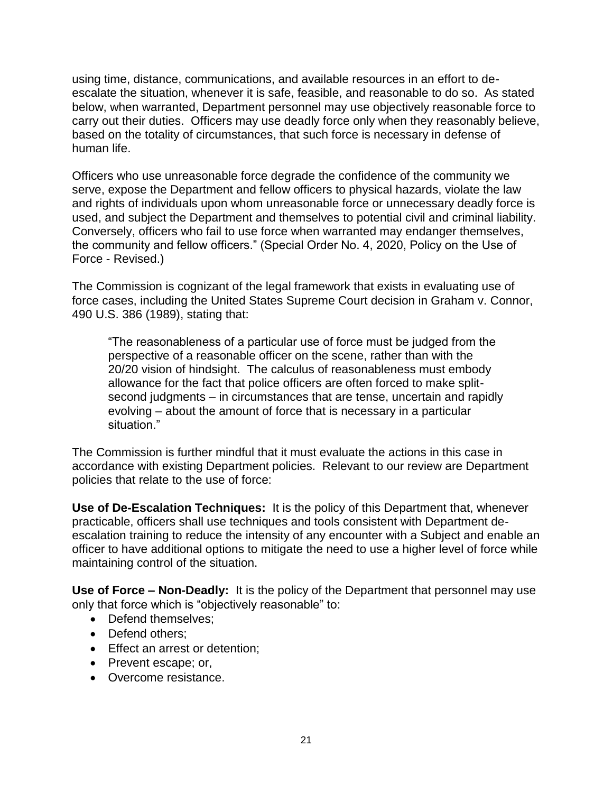using time, distance, communications, and available resources in an effort to deescalate the situation, whenever it is safe, feasible, and reasonable to do so. As stated below, when warranted, Department personnel may use objectively reasonable force to carry out their duties. Officers may use deadly force only when they reasonably believe, based on the totality of circumstances, that such force is necessary in defense of human life.

Officers who use unreasonable force degrade the confidence of the community we serve, expose the Department and fellow officers to physical hazards, violate the law and rights of individuals upon whom unreasonable force or unnecessary deadly force is used, and subject the Department and themselves to potential civil and criminal liability. Conversely, officers who fail to use force when warranted may endanger themselves, the community and fellow officers." (Special Order No. 4, 2020, Policy on the Use of Force - Revised.)

The Commission is cognizant of the legal framework that exists in evaluating use of force cases, including the United States Supreme Court decision in Graham v. Connor, 490 U.S. 386 (1989), stating that:

"The reasonableness of a particular use of force must be judged from the perspective of a reasonable officer on the scene, rather than with the 20/20 vision of hindsight. The calculus of reasonableness must embody allowance for the fact that police officers are often forced to make splitsecond judgments – in circumstances that are tense, uncertain and rapidly evolving – about the amount of force that is necessary in a particular situation."

The Commission is further mindful that it must evaluate the actions in this case in accordance with existing Department policies. Relevant to our review are Department policies that relate to the use of force:

**Use of De-Escalation Techniques:** It is the policy of this Department that, whenever practicable, officers shall use techniques and tools consistent with Department deescalation training to reduce the intensity of any encounter with a Subject and enable an officer to have additional options to mitigate the need to use a higher level of force while maintaining control of the situation.

**Use of Force – Non-Deadly:** It is the policy of the Department that personnel may use only that force which is "objectively reasonable" to:

- Defend themselves:
- Defend others:
- Effect an arrest or detention;
- Prevent escape; or,
- Overcome resistance.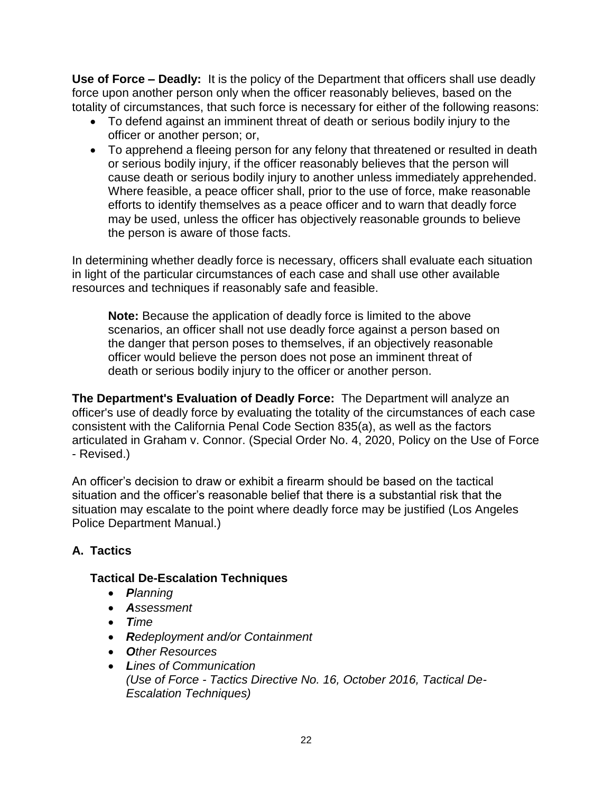**Use of Force – Deadly:** It is the policy of the Department that officers shall use deadly force upon another person only when the officer reasonably believes, based on the totality of circumstances, that such force is necessary for either of the following reasons:

- To defend against an imminent threat of death or serious bodily injury to the officer or another person; or,
- To apprehend a fleeing person for any felony that threatened or resulted in death or serious bodily injury, if the officer reasonably believes that the person will cause death or serious bodily injury to another unless immediately apprehended. Where feasible, a peace officer shall, prior to the use of force, make reasonable efforts to identify themselves as a peace officer and to warn that deadly force may be used, unless the officer has objectively reasonable grounds to believe the person is aware of those facts.

In determining whether deadly force is necessary, officers shall evaluate each situation in light of the particular circumstances of each case and shall use other available resources and techniques if reasonably safe and feasible.

**Note:** Because the application of deadly force is limited to the above scenarios, an officer shall not use deadly force against a person based on the danger that person poses to themselves, if an objectively reasonable officer would believe the person does not pose an imminent threat of death or serious bodily injury to the officer or another person.

**The Department's Evaluation of Deadly Force:** The Department will analyze an officer's use of deadly force by evaluating the totality of the circumstances of each case consistent with the California Penal Code Section 835(a), as well as the factors articulated in Graham v. Connor. (Special Order No. 4, 2020, Policy on the Use of Force - Revised.)

An officer's decision to draw or exhibit a firearm should be based on the tactical situation and the officer's reasonable belief that there is a substantial risk that the situation may escalate to the point where deadly force may be justified (Los Angeles Police Department Manual.)

# **A. Tactics**

## **Tactical De-Escalation Techniques**

- *Planning*
- *Assessment*
- *Time*
- *Redeployment and/or Containment*
- *Other Resources*
- *Lines of Communication (Use of Force - Tactics Directive No. 16, October 2016, Tactical De-Escalation Techniques)*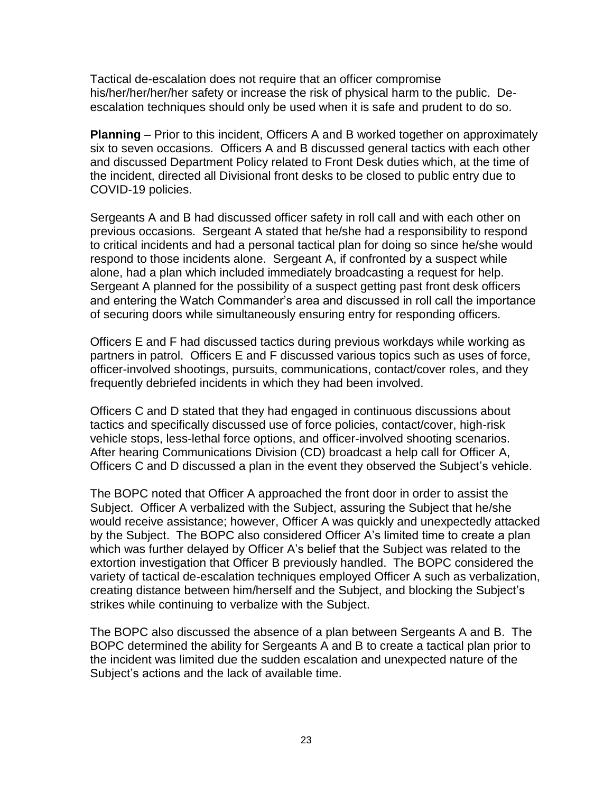Tactical de-escalation does not require that an officer compromise his/her/her/her/her safety or increase the risk of physical harm to the public. Deescalation techniques should only be used when it is safe and prudent to do so.

**Planning** – Prior to this incident, Officers A and B worked together on approximately six to seven occasions. Officers A and B discussed general tactics with each other and discussed Department Policy related to Front Desk duties which, at the time of the incident, directed all Divisional front desks to be closed to public entry due to COVID-19 policies.

Sergeants A and B had discussed officer safety in roll call and with each other on previous occasions. Sergeant A stated that he/she had a responsibility to respond to critical incidents and had a personal tactical plan for doing so since he/she would respond to those incidents alone. Sergeant A, if confronted by a suspect while alone, had a plan which included immediately broadcasting a request for help. Sergeant A planned for the possibility of a suspect getting past front desk officers and entering the Watch Commander's area and discussed in roll call the importance of securing doors while simultaneously ensuring entry for responding officers.

Officers E and F had discussed tactics during previous workdays while working as partners in patrol. Officers E and F discussed various topics such as uses of force, officer-involved shootings, pursuits, communications, contact/cover roles, and they frequently debriefed incidents in which they had been involved.

Officers C and D stated that they had engaged in continuous discussions about tactics and specifically discussed use of force policies, contact/cover, high-risk vehicle stops, less-lethal force options, and officer-involved shooting scenarios. After hearing Communications Division (CD) broadcast a help call for Officer A, Officers C and D discussed a plan in the event they observed the Subject's vehicle.

The BOPC noted that Officer A approached the front door in order to assist the Subject. Officer A verbalized with the Subject, assuring the Subject that he/she would receive assistance; however, Officer A was quickly and unexpectedly attacked by the Subject. The BOPC also considered Officer A's limited time to create a plan which was further delayed by Officer A's belief that the Subject was related to the extortion investigation that Officer B previously handled. The BOPC considered the variety of tactical de-escalation techniques employed Officer A such as verbalization, creating distance between him/herself and the Subject, and blocking the Subject's strikes while continuing to verbalize with the Subject.

The BOPC also discussed the absence of a plan between Sergeants A and B. The BOPC determined the ability for Sergeants A and B to create a tactical plan prior to the incident was limited due the sudden escalation and unexpected nature of the Subject's actions and the lack of available time.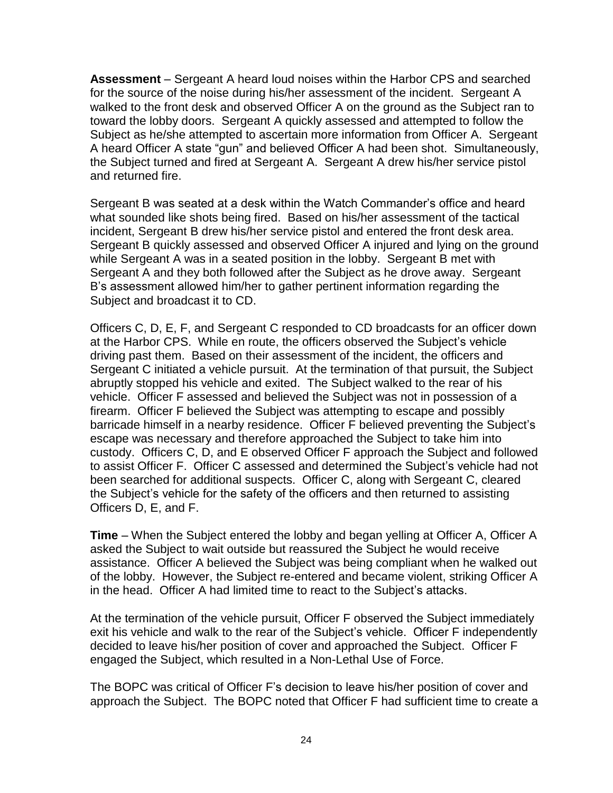**Assessment** – Sergeant A heard loud noises within the Harbor CPS and searched for the source of the noise during his/her assessment of the incident. Sergeant A walked to the front desk and observed Officer A on the ground as the Subject ran to toward the lobby doors. Sergeant A quickly assessed and attempted to follow the Subject as he/she attempted to ascertain more information from Officer A. Sergeant A heard Officer A state "gun" and believed Officer A had been shot. Simultaneously, the Subject turned and fired at Sergeant A. Sergeant A drew his/her service pistol and returned fire.

Sergeant B was seated at a desk within the Watch Commander's office and heard what sounded like shots being fired. Based on his/her assessment of the tactical incident, Sergeant B drew his/her service pistol and entered the front desk area. Sergeant B quickly assessed and observed Officer A injured and lying on the ground while Sergeant A was in a seated position in the lobby. Sergeant B met with Sergeant A and they both followed after the Subject as he drove away. Sergeant B's assessment allowed him/her to gather pertinent information regarding the Subject and broadcast it to CD.

Officers C, D, E, F, and Sergeant C responded to CD broadcasts for an officer down at the Harbor CPS. While en route, the officers observed the Subject's vehicle driving past them. Based on their assessment of the incident, the officers and Sergeant C initiated a vehicle pursuit. At the termination of that pursuit, the Subject abruptly stopped his vehicle and exited. The Subject walked to the rear of his vehicle. Officer F assessed and believed the Subject was not in possession of a firearm. Officer F believed the Subject was attempting to escape and possibly barricade himself in a nearby residence. Officer F believed preventing the Subject's escape was necessary and therefore approached the Subject to take him into custody. Officers C, D, and E observed Officer F approach the Subject and followed to assist Officer F. Officer C assessed and determined the Subject's vehicle had not been searched for additional suspects. Officer C, along with Sergeant C, cleared the Subject's vehicle for the safety of the officers and then returned to assisting Officers D, E, and F.

**Time** – When the Subject entered the lobby and began yelling at Officer A, Officer A asked the Subject to wait outside but reassured the Subject he would receive assistance. Officer A believed the Subject was being compliant when he walked out of the lobby. However, the Subject re-entered and became violent, striking Officer A in the head. Officer A had limited time to react to the Subject's attacks.

At the termination of the vehicle pursuit, Officer F observed the Subject immediately exit his vehicle and walk to the rear of the Subject's vehicle. Officer F independently decided to leave his/her position of cover and approached the Subject. Officer F engaged the Subject, which resulted in a Non-Lethal Use of Force.

The BOPC was critical of Officer F's decision to leave his/her position of cover and approach the Subject. The BOPC noted that Officer F had sufficient time to create a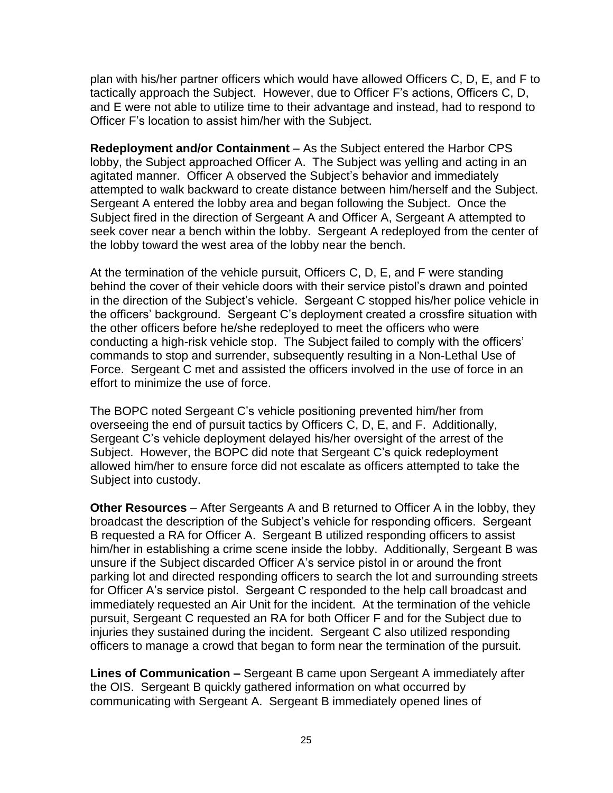plan with his/her partner officers which would have allowed Officers C, D, E, and F to tactically approach the Subject. However, due to Officer F's actions, Officers C, D, and E were not able to utilize time to their advantage and instead, had to respond to Officer F's location to assist him/her with the Subject.

**Redeployment and/or Containment** – As the Subject entered the Harbor CPS lobby, the Subject approached Officer A. The Subject was yelling and acting in an agitated manner. Officer A observed the Subject's behavior and immediately attempted to walk backward to create distance between him/herself and the Subject. Sergeant A entered the lobby area and began following the Subject. Once the Subject fired in the direction of Sergeant A and Officer A, Sergeant A attempted to seek cover near a bench within the lobby. Sergeant A redeployed from the center of the lobby toward the west area of the lobby near the bench.

At the termination of the vehicle pursuit, Officers C, D, E, and F were standing behind the cover of their vehicle doors with their service pistol's drawn and pointed in the direction of the Subject's vehicle. Sergeant C stopped his/her police vehicle in the officers' background. Sergeant C's deployment created a crossfire situation with the other officers before he/she redeployed to meet the officers who were conducting a high-risk vehicle stop. The Subject failed to comply with the officers' commands to stop and surrender, subsequently resulting in a Non-Lethal Use of Force. Sergeant C met and assisted the officers involved in the use of force in an effort to minimize the use of force.

The BOPC noted Sergeant C's vehicle positioning prevented him/her from overseeing the end of pursuit tactics by Officers C, D, E, and F. Additionally, Sergeant C's vehicle deployment delayed his/her oversight of the arrest of the Subject. However, the BOPC did note that Sergeant C's quick redeployment allowed him/her to ensure force did not escalate as officers attempted to take the Subject into custody.

**Other Resources** – After Sergeants A and B returned to Officer A in the lobby, they broadcast the description of the Subject's vehicle for responding officers. Sergeant B requested a RA for Officer A. Sergeant B utilized responding officers to assist him/her in establishing a crime scene inside the lobby. Additionally, Sergeant B was unsure if the Subject discarded Officer A's service pistol in or around the front parking lot and directed responding officers to search the lot and surrounding streets for Officer A's service pistol. Sergeant C responded to the help call broadcast and immediately requested an Air Unit for the incident. At the termination of the vehicle pursuit, Sergeant C requested an RA for both Officer F and for the Subject due to injuries they sustained during the incident. Sergeant C also utilized responding officers to manage a crowd that began to form near the termination of the pursuit.

**Lines of Communication –** Sergeant B came upon Sergeant A immediately after the OIS. Sergeant B quickly gathered information on what occurred by communicating with Sergeant A. Sergeant B immediately opened lines of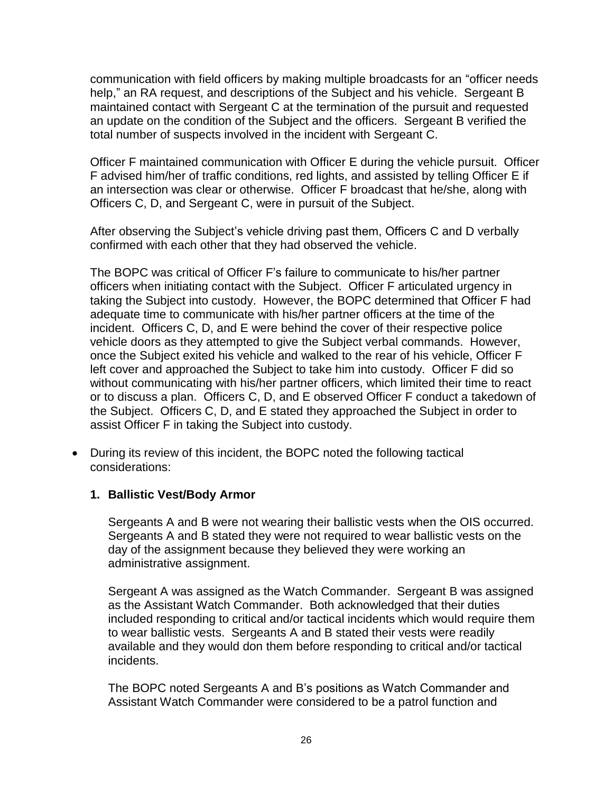communication with field officers by making multiple broadcasts for an "officer needs help," an RA request, and descriptions of the Subject and his vehicle. Sergeant B maintained contact with Sergeant C at the termination of the pursuit and requested an update on the condition of the Subject and the officers. Sergeant B verified the total number of suspects involved in the incident with Sergeant C.

Officer F maintained communication with Officer E during the vehicle pursuit. Officer F advised him/her of traffic conditions, red lights, and assisted by telling Officer E if an intersection was clear or otherwise. Officer F broadcast that he/she, along with Officers C, D, and Sergeant C, were in pursuit of the Subject.

After observing the Subject's vehicle driving past them, Officers C and D verbally confirmed with each other that they had observed the vehicle.

The BOPC was critical of Officer F's failure to communicate to his/her partner officers when initiating contact with the Subject. Officer F articulated urgency in taking the Subject into custody. However, the BOPC determined that Officer F had adequate time to communicate with his/her partner officers at the time of the incident. Officers C, D, and E were behind the cover of their respective police vehicle doors as they attempted to give the Subject verbal commands. However, once the Subject exited his vehicle and walked to the rear of his vehicle, Officer F left cover and approached the Subject to take him into custody. Officer F did so without communicating with his/her partner officers, which limited their time to react or to discuss a plan. Officers C, D, and E observed Officer F conduct a takedown of the Subject. Officers C, D, and E stated they approached the Subject in order to assist Officer F in taking the Subject into custody.

• During its review of this incident, the BOPC noted the following tactical considerations:

## **1. Ballistic Vest/Body Armor**

Sergeants A and B were not wearing their ballistic vests when the OIS occurred. Sergeants A and B stated they were not required to wear ballistic vests on the day of the assignment because they believed they were working an administrative assignment.

Sergeant A was assigned as the Watch Commander. Sergeant B was assigned as the Assistant Watch Commander. Both acknowledged that their duties included responding to critical and/or tactical incidents which would require them to wear ballistic vests. Sergeants A and B stated their vests were readily available and they would don them before responding to critical and/or tactical incidents.

The BOPC noted Sergeants A and B's positions as Watch Commander and Assistant Watch Commander were considered to be a patrol function and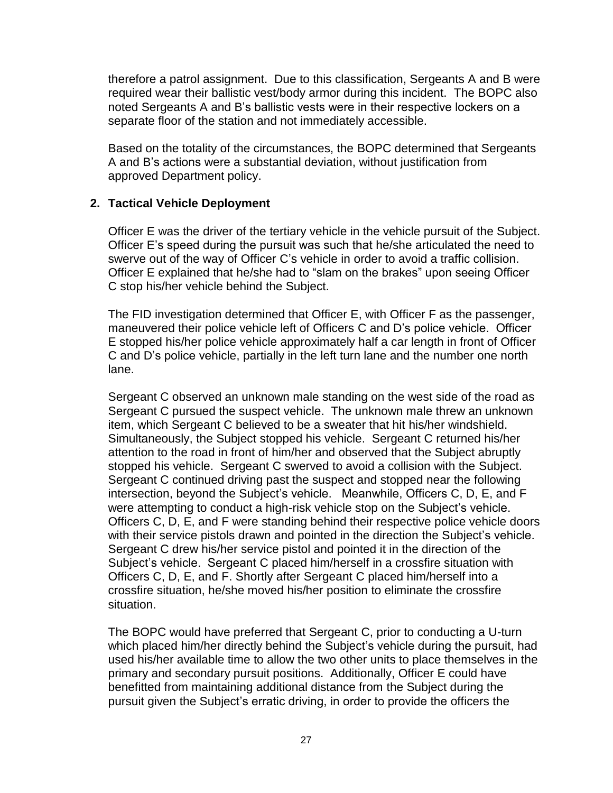therefore a patrol assignment. Due to this classification, Sergeants A and B were required wear their ballistic vest/body armor during this incident. The BOPC also noted Sergeants A and B's ballistic vests were in their respective lockers on a separate floor of the station and not immediately accessible.

Based on the totality of the circumstances, the BOPC determined that Sergeants A and B's actions were a substantial deviation, without justification from approved Department policy.

## **2. Tactical Vehicle Deployment**

Officer E was the driver of the tertiary vehicle in the vehicle pursuit of the Subject. Officer E's speed during the pursuit was such that he/she articulated the need to swerve out of the way of Officer C's vehicle in order to avoid a traffic collision. Officer E explained that he/she had to "slam on the brakes" upon seeing Officer C stop his/her vehicle behind the Subject.

The FID investigation determined that Officer E, with Officer F as the passenger, maneuvered their police vehicle left of Officers C and D's police vehicle. Officer E stopped his/her police vehicle approximately half a car length in front of Officer C and D's police vehicle, partially in the left turn lane and the number one north lane.

Sergeant C observed an unknown male standing on the west side of the road as Sergeant C pursued the suspect vehicle. The unknown male threw an unknown item, which Sergeant C believed to be a sweater that hit his/her windshield. Simultaneously, the Subject stopped his vehicle. Sergeant C returned his/her attention to the road in front of him/her and observed that the Subject abruptly stopped his vehicle. Sergeant C swerved to avoid a collision with the Subject. Sergeant C continued driving past the suspect and stopped near the following intersection, beyond the Subject's vehicle. Meanwhile, Officers C, D, E, and F were attempting to conduct a high-risk vehicle stop on the Subject's vehicle. Officers C, D, E, and F were standing behind their respective police vehicle doors with their service pistols drawn and pointed in the direction the Subject's vehicle. Sergeant C drew his/her service pistol and pointed it in the direction of the Subject's vehicle. Sergeant C placed him/herself in a crossfire situation with Officers C, D, E, and F. Shortly after Sergeant C placed him/herself into a crossfire situation, he/she moved his/her position to eliminate the crossfire situation.

The BOPC would have preferred that Sergeant C, prior to conducting a U-turn which placed him/her directly behind the Subject's vehicle during the pursuit, had used his/her available time to allow the two other units to place themselves in the primary and secondary pursuit positions. Additionally, Officer E could have benefitted from maintaining additional distance from the Subject during the pursuit given the Subject's erratic driving, in order to provide the officers the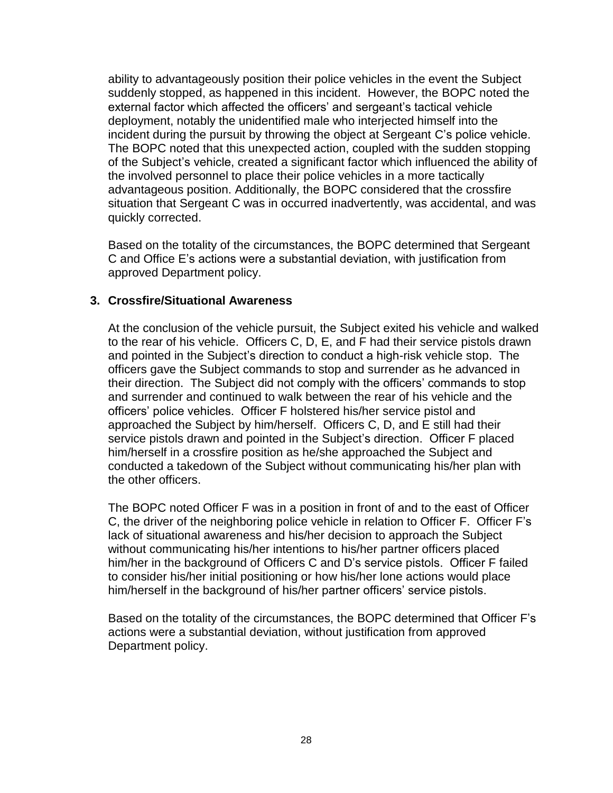ability to advantageously position their police vehicles in the event the Subject suddenly stopped, as happened in this incident. However, the BOPC noted the external factor which affected the officers' and sergeant's tactical vehicle deployment, notably the unidentified male who interjected himself into the incident during the pursuit by throwing the object at Sergeant C's police vehicle. The BOPC noted that this unexpected action, coupled with the sudden stopping of the Subject's vehicle, created a significant factor which influenced the ability of the involved personnel to place their police vehicles in a more tactically advantageous position. Additionally, the BOPC considered that the crossfire situation that Sergeant C was in occurred inadvertently, was accidental, and was quickly corrected.

Based on the totality of the circumstances, the BOPC determined that Sergeant C and Office E's actions were a substantial deviation, with justification from approved Department policy.

### **3. Crossfire/Situational Awareness**

At the conclusion of the vehicle pursuit, the Subject exited his vehicle and walked to the rear of his vehicle. Officers C, D, E, and F had their service pistols drawn and pointed in the Subject's direction to conduct a high-risk vehicle stop. The officers gave the Subject commands to stop and surrender as he advanced in their direction. The Subject did not comply with the officers' commands to stop and surrender and continued to walk between the rear of his vehicle and the officers' police vehicles. Officer F holstered his/her service pistol and approached the Subject by him/herself. Officers C, D, and E still had their service pistols drawn and pointed in the Subject's direction. Officer F placed him/herself in a crossfire position as he/she approached the Subject and conducted a takedown of the Subject without communicating his/her plan with the other officers.

The BOPC noted Officer F was in a position in front of and to the east of Officer C, the driver of the neighboring police vehicle in relation to Officer F. Officer F's lack of situational awareness and his/her decision to approach the Subject without communicating his/her intentions to his/her partner officers placed him/her in the background of Officers C and D's service pistols. Officer F failed to consider his/her initial positioning or how his/her lone actions would place him/herself in the background of his/her partner officers' service pistols.

Based on the totality of the circumstances, the BOPC determined that Officer F's actions were a substantial deviation, without justification from approved Department policy.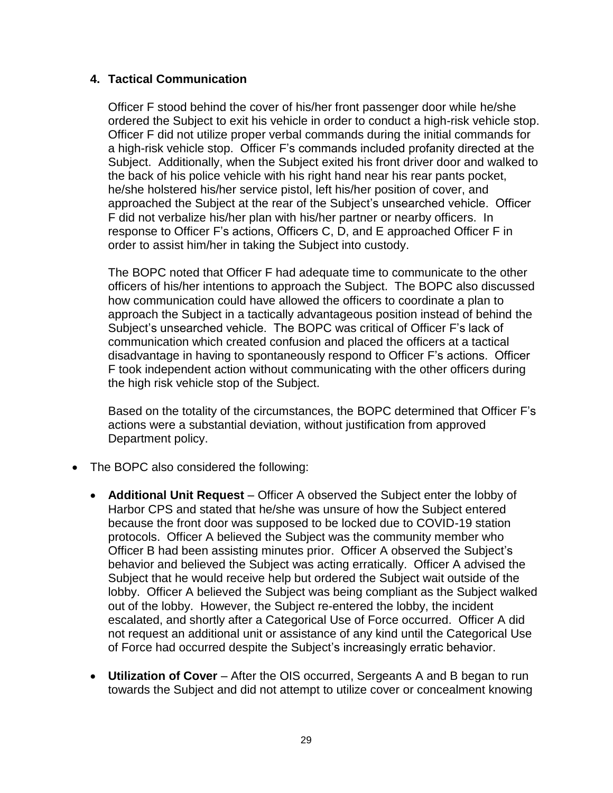### **4. Tactical Communication**

Officer F stood behind the cover of his/her front passenger door while he/she ordered the Subject to exit his vehicle in order to conduct a high-risk vehicle stop. Officer F did not utilize proper verbal commands during the initial commands for a high-risk vehicle stop. Officer F's commands included profanity directed at the Subject. Additionally, when the Subject exited his front driver door and walked to the back of his police vehicle with his right hand near his rear pants pocket, he/she holstered his/her service pistol, left his/her position of cover, and approached the Subject at the rear of the Subject's unsearched vehicle. Officer F did not verbalize his/her plan with his/her partner or nearby officers. In response to Officer F's actions, Officers C, D, and E approached Officer F in order to assist him/her in taking the Subject into custody.

The BOPC noted that Officer F had adequate time to communicate to the other officers of his/her intentions to approach the Subject. The BOPC also discussed how communication could have allowed the officers to coordinate a plan to approach the Subject in a tactically advantageous position instead of behind the Subject's unsearched vehicle. The BOPC was critical of Officer F's lack of communication which created confusion and placed the officers at a tactical disadvantage in having to spontaneously respond to Officer F's actions. Officer F took independent action without communicating with the other officers during the high risk vehicle stop of the Subject.

Based on the totality of the circumstances, the BOPC determined that Officer F's actions were a substantial deviation, without justification from approved Department policy.

- The BOPC also considered the following:
	- **Additional Unit Request** Officer A observed the Subject enter the lobby of Harbor CPS and stated that he/she was unsure of how the Subject entered because the front door was supposed to be locked due to COVID-19 station protocols. Officer A believed the Subject was the community member who Officer B had been assisting minutes prior. Officer A observed the Subject's behavior and believed the Subject was acting erratically. Officer A advised the Subject that he would receive help but ordered the Subject wait outside of the lobby. Officer A believed the Subject was being compliant as the Subject walked out of the lobby. However, the Subject re-entered the lobby, the incident escalated, and shortly after a Categorical Use of Force occurred. Officer A did not request an additional unit or assistance of any kind until the Categorical Use of Force had occurred despite the Subject's increasingly erratic behavior.
	- **Utilization of Cover** After the OIS occurred, Sergeants A and B began to run towards the Subject and did not attempt to utilize cover or concealment knowing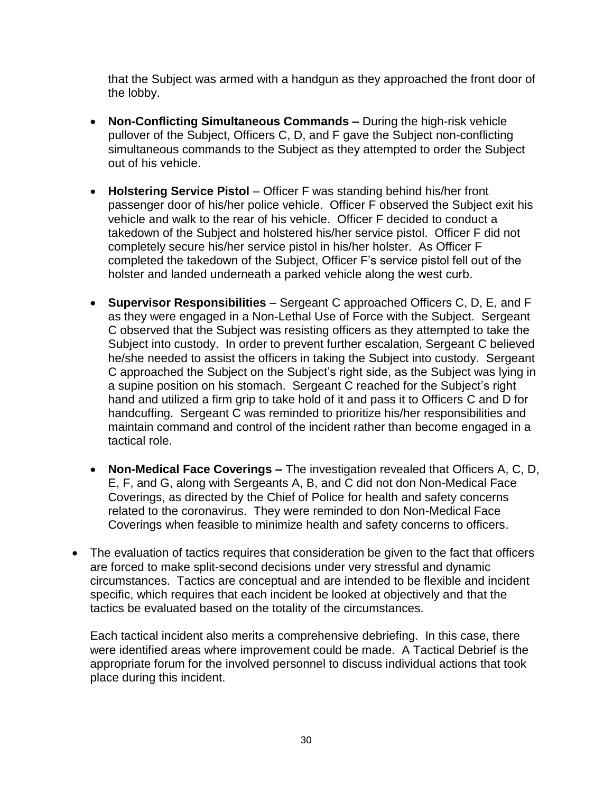that the Subject was armed with a handgun as they approached the front door of the lobby.

- **Non-Conflicting Simultaneous Commands –** During the high-risk vehicle pullover of the Subject, Officers C, D, and F gave the Subject non-conflicting simultaneous commands to the Subject as they attempted to order the Subject out of his vehicle.
- **Holstering Service Pistol** Officer F was standing behind his/her front passenger door of his/her police vehicle. Officer F observed the Subject exit his vehicle and walk to the rear of his vehicle. Officer F decided to conduct a takedown of the Subject and holstered his/her service pistol. Officer F did not completely secure his/her service pistol in his/her holster. As Officer F completed the takedown of the Subject, Officer F's service pistol fell out of the holster and landed underneath a parked vehicle along the west curb.
- **Supervisor Responsibilities** Sergeant C approached Officers C, D, E, and F as they were engaged in a Non-Lethal Use of Force with the Subject. Sergeant C observed that the Subject was resisting officers as they attempted to take the Subject into custody. In order to prevent further escalation, Sergeant C believed he/she needed to assist the officers in taking the Subject into custody. Sergeant C approached the Subject on the Subject's right side, as the Subject was lying in a supine position on his stomach. Sergeant C reached for the Subject's right hand and utilized a firm grip to take hold of it and pass it to Officers C and D for handcuffing. Sergeant C was reminded to prioritize his/her responsibilities and maintain command and control of the incident rather than become engaged in a tactical role.
- **Non-Medical Face Coverings –** The investigation revealed that Officers A, C, D, E, F, and G, along with Sergeants A, B, and C did not don Non-Medical Face Coverings, as directed by the Chief of Police for health and safety concerns related to the coronavirus. They were reminded to don Non-Medical Face Coverings when feasible to minimize health and safety concerns to officers.
- The evaluation of tactics requires that consideration be given to the fact that officers are forced to make split-second decisions under very stressful and dynamic circumstances. Tactics are conceptual and are intended to be flexible and incident specific, which requires that each incident be looked at objectively and that the tactics be evaluated based on the totality of the circumstances.

Each tactical incident also merits a comprehensive debriefing. In this case, there were identified areas where improvement could be made. A Tactical Debrief is the appropriate forum for the involved personnel to discuss individual actions that took place during this incident.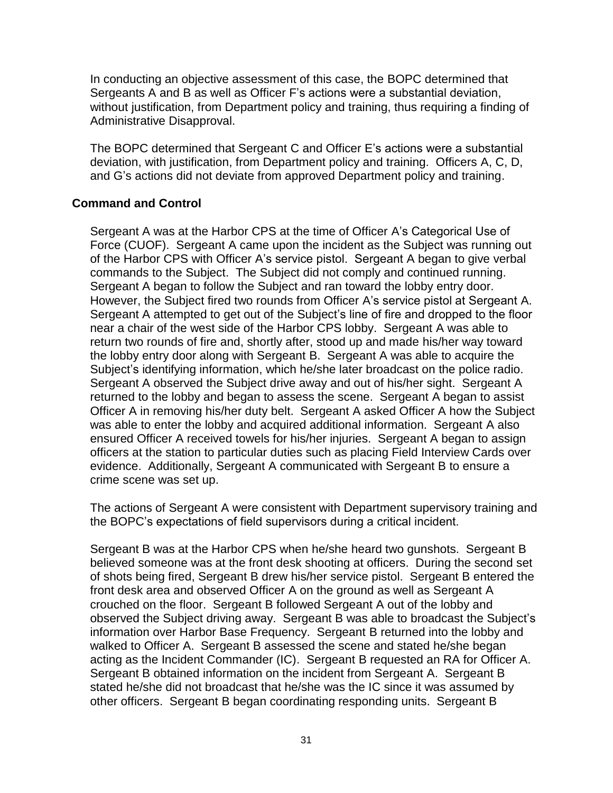In conducting an objective assessment of this case, the BOPC determined that Sergeants A and B as well as Officer F's actions were a substantial deviation, without justification, from Department policy and training, thus requiring a finding of Administrative Disapproval.

The BOPC determined that Sergeant C and Officer E's actions were a substantial deviation, with justification, from Department policy and training. Officers A, C, D, and G's actions did not deviate from approved Department policy and training.

## **Command and Control**

Sergeant A was at the Harbor CPS at the time of Officer A's Categorical Use of Force (CUOF). Sergeant A came upon the incident as the Subject was running out of the Harbor CPS with Officer A's service pistol. Sergeant A began to give verbal commands to the Subject. The Subject did not comply and continued running. Sergeant A began to follow the Subject and ran toward the lobby entry door. However, the Subject fired two rounds from Officer A's service pistol at Sergeant A. Sergeant A attempted to get out of the Subject's line of fire and dropped to the floor near a chair of the west side of the Harbor CPS lobby. Sergeant A was able to return two rounds of fire and, shortly after, stood up and made his/her way toward the lobby entry door along with Sergeant B. Sergeant A was able to acquire the Subject's identifying information, which he/she later broadcast on the police radio. Sergeant A observed the Subject drive away and out of his/her sight. Sergeant A returned to the lobby and began to assess the scene. Sergeant A began to assist Officer A in removing his/her duty belt. Sergeant A asked Officer A how the Subject was able to enter the lobby and acquired additional information. Sergeant A also ensured Officer A received towels for his/her injuries. Sergeant A began to assign officers at the station to particular duties such as placing Field Interview Cards over evidence. Additionally, Sergeant A communicated with Sergeant B to ensure a crime scene was set up.

The actions of Sergeant A were consistent with Department supervisory training and the BOPC's expectations of field supervisors during a critical incident.

Sergeant B was at the Harbor CPS when he/she heard two gunshots. Sergeant B believed someone was at the front desk shooting at officers. During the second set of shots being fired, Sergeant B drew his/her service pistol. Sergeant B entered the front desk area and observed Officer A on the ground as well as Sergeant A crouched on the floor. Sergeant B followed Sergeant A out of the lobby and observed the Subject driving away. Sergeant B was able to broadcast the Subject's information over Harbor Base Frequency. Sergeant B returned into the lobby and walked to Officer A. Sergeant B assessed the scene and stated he/she began acting as the Incident Commander (IC). Sergeant B requested an RA for Officer A. Sergeant B obtained information on the incident from Sergeant A. Sergeant B stated he/she did not broadcast that he/she was the IC since it was assumed by other officers. Sergeant B began coordinating responding units. Sergeant B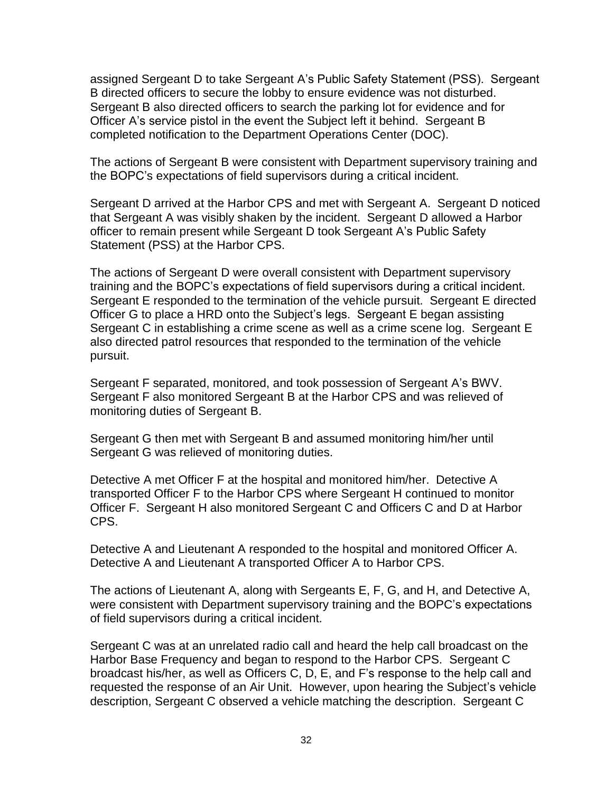assigned Sergeant D to take Sergeant A's Public Safety Statement (PSS). Sergeant B directed officers to secure the lobby to ensure evidence was not disturbed. Sergeant B also directed officers to search the parking lot for evidence and for Officer A's service pistol in the event the Subject left it behind. Sergeant B completed notification to the Department Operations Center (DOC).

The actions of Sergeant B were consistent with Department supervisory training and the BOPC's expectations of field supervisors during a critical incident.

Sergeant D arrived at the Harbor CPS and met with Sergeant A. Sergeant D noticed that Sergeant A was visibly shaken by the incident. Sergeant D allowed a Harbor officer to remain present while Sergeant D took Sergeant A's Public Safety Statement (PSS) at the Harbor CPS.

The actions of Sergeant D were overall consistent with Department supervisory training and the BOPC's expectations of field supervisors during a critical incident. Sergeant E responded to the termination of the vehicle pursuit. Sergeant E directed Officer G to place a HRD onto the Subject's legs. Sergeant E began assisting Sergeant C in establishing a crime scene as well as a crime scene log. Sergeant E also directed patrol resources that responded to the termination of the vehicle pursuit.

Sergeant F separated, monitored, and took possession of Sergeant A's BWV. Sergeant F also monitored Sergeant B at the Harbor CPS and was relieved of monitoring duties of Sergeant B.

Sergeant G then met with Sergeant B and assumed monitoring him/her until Sergeant G was relieved of monitoring duties.

Detective A met Officer F at the hospital and monitored him/her. Detective A transported Officer F to the Harbor CPS where Sergeant H continued to monitor Officer F. Sergeant H also monitored Sergeant C and Officers C and D at Harbor CPS.

Detective A and Lieutenant A responded to the hospital and monitored Officer A. Detective A and Lieutenant A transported Officer A to Harbor CPS.

The actions of Lieutenant A, along with Sergeants E, F, G, and H, and Detective A, were consistent with Department supervisory training and the BOPC's expectations of field supervisors during a critical incident.

Sergeant C was at an unrelated radio call and heard the help call broadcast on the Harbor Base Frequency and began to respond to the Harbor CPS. Sergeant C broadcast his/her, as well as Officers C, D, E, and F's response to the help call and requested the response of an Air Unit. However, upon hearing the Subject's vehicle description, Sergeant C observed a vehicle matching the description. Sergeant C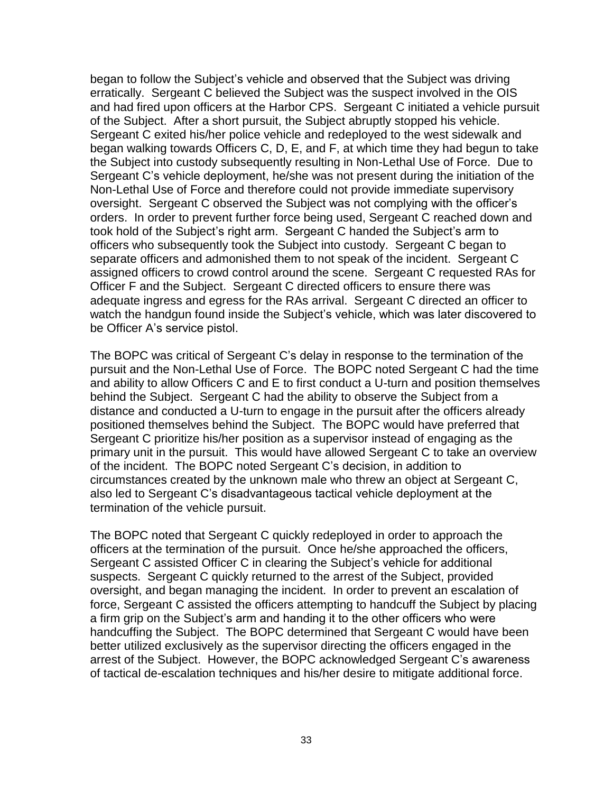began to follow the Subject's vehicle and observed that the Subject was driving erratically. Sergeant C believed the Subject was the suspect involved in the OIS and had fired upon officers at the Harbor CPS. Sergeant C initiated a vehicle pursuit of the Subject. After a short pursuit, the Subject abruptly stopped his vehicle. Sergeant C exited his/her police vehicle and redeployed to the west sidewalk and began walking towards Officers C, D, E, and F, at which time they had begun to take the Subject into custody subsequently resulting in Non-Lethal Use of Force. Due to Sergeant C's vehicle deployment, he/she was not present during the initiation of the Non-Lethal Use of Force and therefore could not provide immediate supervisory oversight. Sergeant C observed the Subject was not complying with the officer's orders. In order to prevent further force being used, Sergeant C reached down and took hold of the Subject's right arm. Sergeant C handed the Subject's arm to officers who subsequently took the Subject into custody. Sergeant C began to separate officers and admonished them to not speak of the incident. Sergeant C assigned officers to crowd control around the scene. Sergeant C requested RAs for Officer F and the Subject. Sergeant C directed officers to ensure there was adequate ingress and egress for the RAs arrival. Sergeant C directed an officer to watch the handgun found inside the Subject's vehicle, which was later discovered to be Officer A's service pistol.

The BOPC was critical of Sergeant C's delay in response to the termination of the pursuit and the Non-Lethal Use of Force. The BOPC noted Sergeant C had the time and ability to allow Officers C and E to first conduct a U-turn and position themselves behind the Subject. Sergeant C had the ability to observe the Subject from a distance and conducted a U-turn to engage in the pursuit after the officers already positioned themselves behind the Subject. The BOPC would have preferred that Sergeant C prioritize his/her position as a supervisor instead of engaging as the primary unit in the pursuit. This would have allowed Sergeant C to take an overview of the incident. The BOPC noted Sergeant C's decision, in addition to circumstances created by the unknown male who threw an object at Sergeant C, also led to Sergeant C's disadvantageous tactical vehicle deployment at the termination of the vehicle pursuit.

The BOPC noted that Sergeant C quickly redeployed in order to approach the officers at the termination of the pursuit. Once he/she approached the officers, Sergeant C assisted Officer C in clearing the Subject's vehicle for additional suspects. Sergeant C quickly returned to the arrest of the Subject, provided oversight, and began managing the incident. In order to prevent an escalation of force, Sergeant C assisted the officers attempting to handcuff the Subject by placing a firm grip on the Subject's arm and handing it to the other officers who were handcuffing the Subject. The BOPC determined that Sergeant C would have been better utilized exclusively as the supervisor directing the officers engaged in the arrest of the Subject. However, the BOPC acknowledged Sergeant C's awareness of tactical de-escalation techniques and his/her desire to mitigate additional force.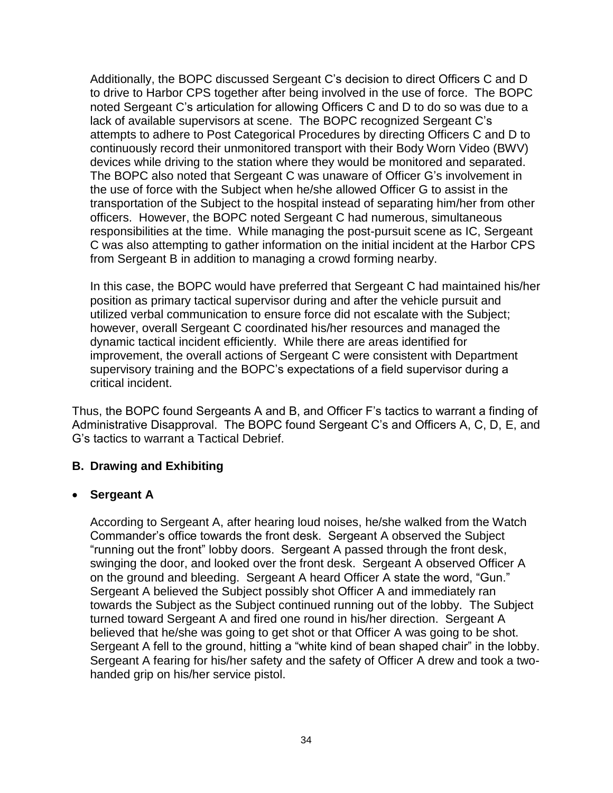Additionally, the BOPC discussed Sergeant C's decision to direct Officers C and D to drive to Harbor CPS together after being involved in the use of force. The BOPC noted Sergeant C's articulation for allowing Officers C and D to do so was due to a lack of available supervisors at scene. The BOPC recognized Sergeant C's attempts to adhere to Post Categorical Procedures by directing Officers C and D to continuously record their unmonitored transport with their Body Worn Video (BWV) devices while driving to the station where they would be monitored and separated. The BOPC also noted that Sergeant C was unaware of Officer G's involvement in the use of force with the Subject when he/she allowed Officer G to assist in the transportation of the Subject to the hospital instead of separating him/her from other officers. However, the BOPC noted Sergeant C had numerous, simultaneous responsibilities at the time. While managing the post-pursuit scene as IC, Sergeant C was also attempting to gather information on the initial incident at the Harbor CPS from Sergeant B in addition to managing a crowd forming nearby.

In this case, the BOPC would have preferred that Sergeant C had maintained his/her position as primary tactical supervisor during and after the vehicle pursuit and utilized verbal communication to ensure force did not escalate with the Subject; however, overall Sergeant C coordinated his/her resources and managed the dynamic tactical incident efficiently. While there are areas identified for improvement, the overall actions of Sergeant C were consistent with Department supervisory training and the BOPC's expectations of a field supervisor during a critical incident.

Thus, the BOPC found Sergeants A and B, and Officer F's tactics to warrant a finding of Administrative Disapproval. The BOPC found Sergeant C's and Officers A, C, D, E, and G's tactics to warrant a Tactical Debrief.

### **B. Drawing and Exhibiting**

### • **Sergeant A**

According to Sergeant A, after hearing loud noises, he/she walked from the Watch Commander's office towards the front desk. Sergeant A observed the Subject "running out the front" lobby doors. Sergeant A passed through the front desk, swinging the door, and looked over the front desk. Sergeant A observed Officer A on the ground and bleeding. Sergeant A heard Officer A state the word, "Gun." Sergeant A believed the Subject possibly shot Officer A and immediately ran towards the Subject as the Subject continued running out of the lobby. The Subject turned toward Sergeant A and fired one round in his/her direction. Sergeant A believed that he/she was going to get shot or that Officer A was going to be shot. Sergeant A fell to the ground, hitting a "white kind of bean shaped chair" in the lobby. Sergeant A fearing for his/her safety and the safety of Officer A drew and took a twohanded grip on his/her service pistol.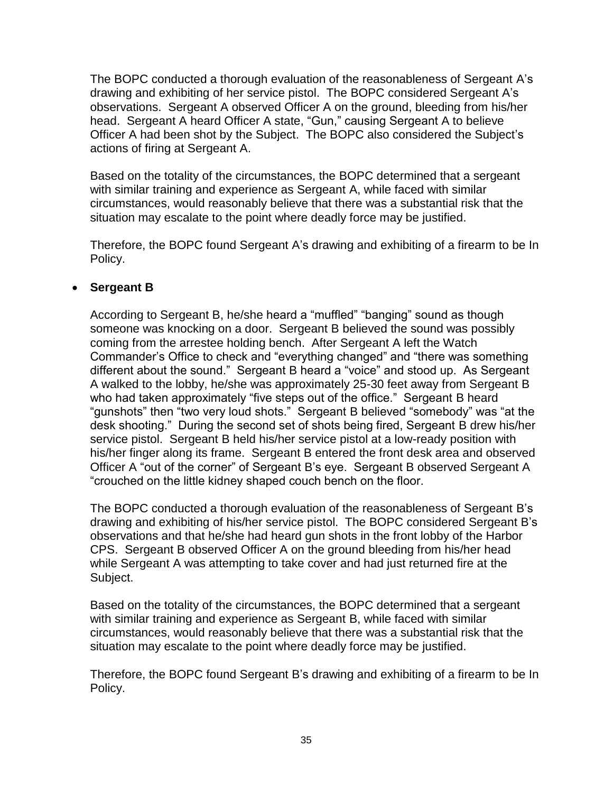The BOPC conducted a thorough evaluation of the reasonableness of Sergeant A's drawing and exhibiting of her service pistol. The BOPC considered Sergeant A's observations. Sergeant A observed Officer A on the ground, bleeding from his/her head. Sergeant A heard Officer A state, "Gun," causing Sergeant A to believe Officer A had been shot by the Subject. The BOPC also considered the Subject's actions of firing at Sergeant A.

Based on the totality of the circumstances, the BOPC determined that a sergeant with similar training and experience as Sergeant A, while faced with similar circumstances, would reasonably believe that there was a substantial risk that the situation may escalate to the point where deadly force may be justified.

Therefore, the BOPC found Sergeant A's drawing and exhibiting of a firearm to be In Policy.

## • **Sergeant B**

According to Sergeant B, he/she heard a "muffled" "banging" sound as though someone was knocking on a door. Sergeant B believed the sound was possibly coming from the arrestee holding bench. After Sergeant A left the Watch Commander's Office to check and "everything changed" and "there was something different about the sound." Sergeant B heard a "voice" and stood up. As Sergeant A walked to the lobby, he/she was approximately 25-30 feet away from Sergeant B who had taken approximately "five steps out of the office." Sergeant B heard "gunshots" then "two very loud shots." Sergeant B believed "somebody" was "at the desk shooting." During the second set of shots being fired, Sergeant B drew his/her service pistol. Sergeant B held his/her service pistol at a low-ready position with his/her finger along its frame. Sergeant B entered the front desk area and observed Officer A "out of the corner" of Sergeant B's eye. Sergeant B observed Sergeant A "crouched on the little kidney shaped couch bench on the floor.

The BOPC conducted a thorough evaluation of the reasonableness of Sergeant B's drawing and exhibiting of his/her service pistol. The BOPC considered Sergeant B's observations and that he/she had heard gun shots in the front lobby of the Harbor CPS. Sergeant B observed Officer A on the ground bleeding from his/her head while Sergeant A was attempting to take cover and had just returned fire at the Subject.

Based on the totality of the circumstances, the BOPC determined that a sergeant with similar training and experience as Sergeant B, while faced with similar circumstances, would reasonably believe that there was a substantial risk that the situation may escalate to the point where deadly force may be justified.

Therefore, the BOPC found Sergeant B's drawing and exhibiting of a firearm to be In Policy.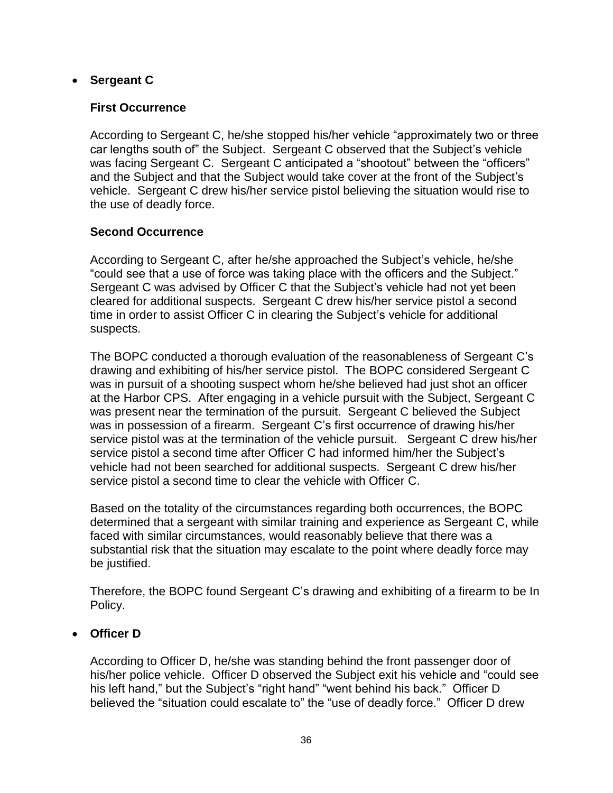## • **Sergeant C**

### **First Occurrence**

According to Sergeant C, he/she stopped his/her vehicle "approximately two or three car lengths south of" the Subject. Sergeant C observed that the Subject's vehicle was facing Sergeant C. Sergeant C anticipated a "shootout" between the "officers" and the Subject and that the Subject would take cover at the front of the Subject's vehicle. Sergeant C drew his/her service pistol believing the situation would rise to the use of deadly force.

## **Second Occurrence**

According to Sergeant C, after he/she approached the Subject's vehicle, he/she "could see that a use of force was taking place with the officers and the Subject." Sergeant C was advised by Officer C that the Subject's vehicle had not yet been cleared for additional suspects. Sergeant C drew his/her service pistol a second time in order to assist Officer C in clearing the Subject's vehicle for additional suspects.

The BOPC conducted a thorough evaluation of the reasonableness of Sergeant C's drawing and exhibiting of his/her service pistol. The BOPC considered Sergeant C was in pursuit of a shooting suspect whom he/she believed had just shot an officer at the Harbor CPS. After engaging in a vehicle pursuit with the Subject, Sergeant C was present near the termination of the pursuit. Sergeant C believed the Subject was in possession of a firearm. Sergeant C's first occurrence of drawing his/her service pistol was at the termination of the vehicle pursuit. Sergeant C drew his/her service pistol a second time after Officer C had informed him/her the Subject's vehicle had not been searched for additional suspects. Sergeant C drew his/her service pistol a second time to clear the vehicle with Officer C.

Based on the totality of the circumstances regarding both occurrences, the BOPC determined that a sergeant with similar training and experience as Sergeant C, while faced with similar circumstances, would reasonably believe that there was a substantial risk that the situation may escalate to the point where deadly force may be justified.

Therefore, the BOPC found Sergeant C's drawing and exhibiting of a firearm to be In Policy.

## • **Officer D**

According to Officer D, he/she was standing behind the front passenger door of his/her police vehicle. Officer D observed the Subject exit his vehicle and "could see his left hand," but the Subject's "right hand" "went behind his back." Officer D believed the "situation could escalate to" the "use of deadly force." Officer D drew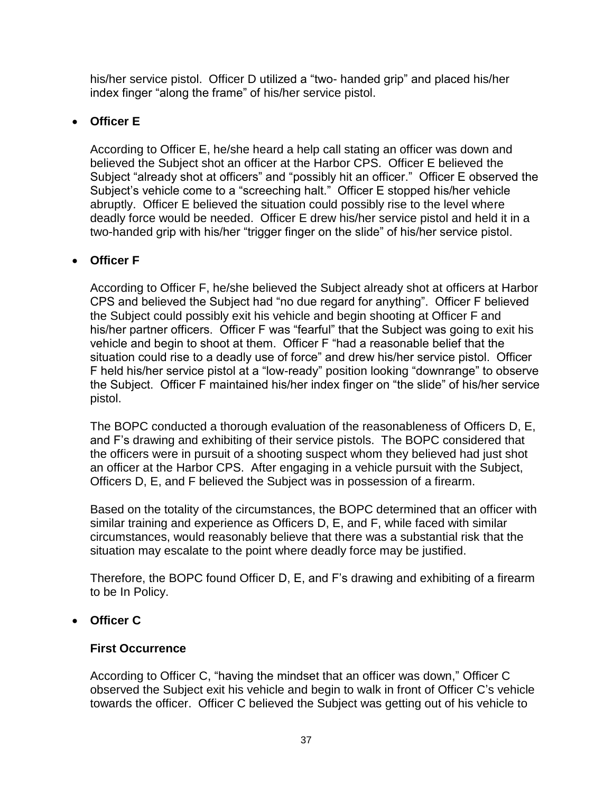his/her service pistol. Officer D utilized a "two- handed grip" and placed his/her index finger "along the frame" of his/her service pistol.

# • **Officer E**

According to Officer E, he/she heard a help call stating an officer was down and believed the Subject shot an officer at the Harbor CPS. Officer E believed the Subject "already shot at officers" and "possibly hit an officer." Officer E observed the Subject's vehicle come to a "screeching halt." Officer E stopped his/her vehicle abruptly. Officer E believed the situation could possibly rise to the level where deadly force would be needed. Officer E drew his/her service pistol and held it in a two-handed grip with his/her "trigger finger on the slide" of his/her service pistol.

# • **Officer F**

According to Officer F, he/she believed the Subject already shot at officers at Harbor CPS and believed the Subject had "no due regard for anything". Officer F believed the Subject could possibly exit his vehicle and begin shooting at Officer F and his/her partner officers. Officer F was "fearful" that the Subject was going to exit his vehicle and begin to shoot at them. Officer F "had a reasonable belief that the situation could rise to a deadly use of force" and drew his/her service pistol. Officer F held his/her service pistol at a "low-ready" position looking "downrange" to observe the Subject. Officer F maintained his/her index finger on "the slide" of his/her service pistol.

The BOPC conducted a thorough evaluation of the reasonableness of Officers D, E, and F's drawing and exhibiting of their service pistols. The BOPC considered that the officers were in pursuit of a shooting suspect whom they believed had just shot an officer at the Harbor CPS. After engaging in a vehicle pursuit with the Subject, Officers D, E, and F believed the Subject was in possession of a firearm.

Based on the totality of the circumstances, the BOPC determined that an officer with similar training and experience as Officers D, E, and F, while faced with similar circumstances, would reasonably believe that there was a substantial risk that the situation may escalate to the point where deadly force may be justified.

Therefore, the BOPC found Officer D, E, and F's drawing and exhibiting of a firearm to be In Policy.

# • **Officer C**

# **First Occurrence**

According to Officer C, "having the mindset that an officer was down," Officer C observed the Subject exit his vehicle and begin to walk in front of Officer C's vehicle towards the officer. Officer C believed the Subject was getting out of his vehicle to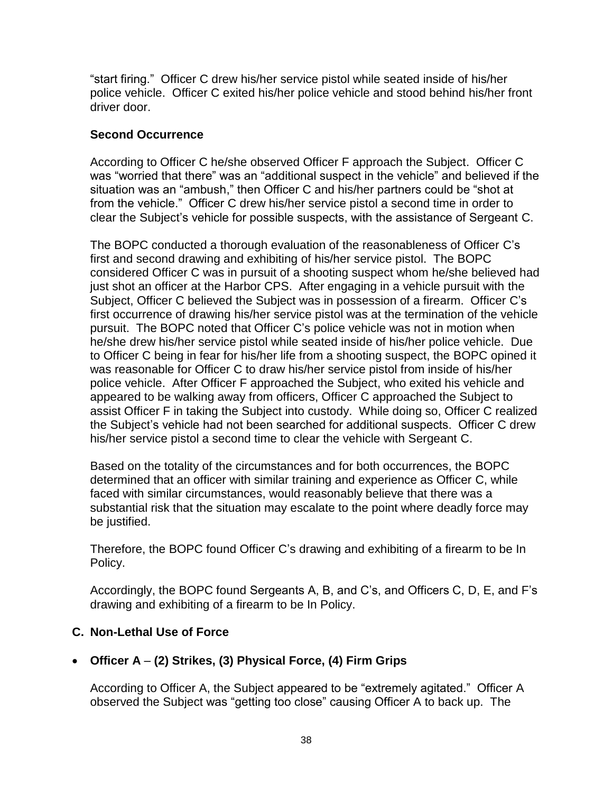"start firing." Officer C drew his/her service pistol while seated inside of his/her police vehicle. Officer C exited his/her police vehicle and stood behind his/her front driver door.

## **Second Occurrence**

According to Officer C he/she observed Officer F approach the Subject. Officer C was "worried that there" was an "additional suspect in the vehicle" and believed if the situation was an "ambush," then Officer C and his/her partners could be "shot at from the vehicle." Officer C drew his/her service pistol a second time in order to clear the Subject's vehicle for possible suspects, with the assistance of Sergeant C.

The BOPC conducted a thorough evaluation of the reasonableness of Officer C's first and second drawing and exhibiting of his/her service pistol. The BOPC considered Officer C was in pursuit of a shooting suspect whom he/she believed had just shot an officer at the Harbor CPS. After engaging in a vehicle pursuit with the Subject, Officer C believed the Subject was in possession of a firearm. Officer C's first occurrence of drawing his/her service pistol was at the termination of the vehicle pursuit. The BOPC noted that Officer C's police vehicle was not in motion when he/she drew his/her service pistol while seated inside of his/her police vehicle. Due to Officer C being in fear for his/her life from a shooting suspect, the BOPC opined it was reasonable for Officer C to draw his/her service pistol from inside of his/her police vehicle. After Officer F approached the Subject, who exited his vehicle and appeared to be walking away from officers, Officer C approached the Subject to assist Officer F in taking the Subject into custody. While doing so, Officer C realized the Subject's vehicle had not been searched for additional suspects. Officer C drew his/her service pistol a second time to clear the vehicle with Sergeant C.

Based on the totality of the circumstances and for both occurrences, the BOPC determined that an officer with similar training and experience as Officer C, while faced with similar circumstances, would reasonably believe that there was a substantial risk that the situation may escalate to the point where deadly force may be justified.

Therefore, the BOPC found Officer C's drawing and exhibiting of a firearm to be In Policy.

Accordingly, the BOPC found Sergeants A, B, and C's, and Officers C, D, E, and F's drawing and exhibiting of a firearm to be In Policy.

## **C. Non-Lethal Use of Force**

# • **Officer A** – **(2) Strikes, (3) Physical Force, (4) Firm Grips**

According to Officer A, the Subject appeared to be "extremely agitated." Officer A observed the Subject was "getting too close" causing Officer A to back up. The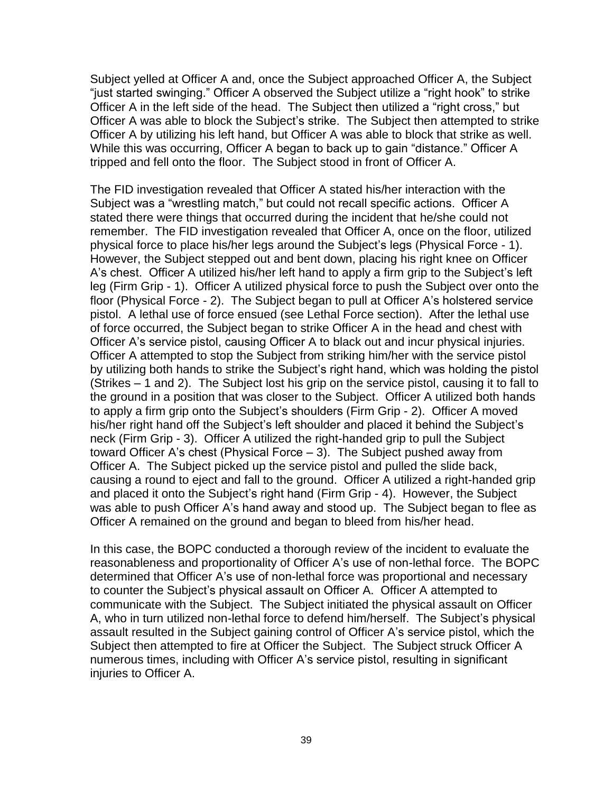Subject yelled at Officer A and, once the Subject approached Officer A, the Subject "just started swinging." Officer A observed the Subject utilize a "right hook" to strike Officer A in the left side of the head. The Subject then utilized a "right cross," but Officer A was able to block the Subject's strike. The Subject then attempted to strike Officer A by utilizing his left hand, but Officer A was able to block that strike as well. While this was occurring, Officer A began to back up to gain "distance." Officer A tripped and fell onto the floor. The Subject stood in front of Officer A.

The FID investigation revealed that Officer A stated his/her interaction with the Subject was a "wrestling match," but could not recall specific actions. Officer A stated there were things that occurred during the incident that he/she could not remember. The FID investigation revealed that Officer A, once on the floor, utilized physical force to place his/her legs around the Subject's legs (Physical Force - 1). However, the Subject stepped out and bent down, placing his right knee on Officer A's chest. Officer A utilized his/her left hand to apply a firm grip to the Subject's left leg (Firm Grip - 1). Officer A utilized physical force to push the Subject over onto the floor (Physical Force - 2). The Subject began to pull at Officer A's holstered service pistol. A lethal use of force ensued (see Lethal Force section). After the lethal use of force occurred, the Subject began to strike Officer A in the head and chest with Officer A's service pistol, causing Officer A to black out and incur physical injuries. Officer A attempted to stop the Subject from striking him/her with the service pistol by utilizing both hands to strike the Subject's right hand, which was holding the pistol (Strikes – 1 and 2). The Subject lost his grip on the service pistol, causing it to fall to the ground in a position that was closer to the Subject. Officer A utilized both hands to apply a firm grip onto the Subject's shoulders (Firm Grip - 2). Officer A moved his/her right hand off the Subject's left shoulder and placed it behind the Subject's neck (Firm Grip - 3). Officer A utilized the right-handed grip to pull the Subject toward Officer A's chest (Physical Force – 3). The Subject pushed away from Officer A. The Subject picked up the service pistol and pulled the slide back, causing a round to eject and fall to the ground. Officer A utilized a right-handed grip and placed it onto the Subject's right hand (Firm Grip - 4). However, the Subject was able to push Officer A's hand away and stood up. The Subject began to flee as Officer A remained on the ground and began to bleed from his/her head.

In this case, the BOPC conducted a thorough review of the incident to evaluate the reasonableness and proportionality of Officer A's use of non-lethal force. The BOPC determined that Officer A's use of non-lethal force was proportional and necessary to counter the Subject's physical assault on Officer A. Officer A attempted to communicate with the Subject. The Subject initiated the physical assault on Officer A, who in turn utilized non-lethal force to defend him/herself. The Subject's physical assault resulted in the Subject gaining control of Officer A's service pistol, which the Subject then attempted to fire at Officer the Subject. The Subject struck Officer A numerous times, including with Officer A's service pistol, resulting in significant injuries to Officer A.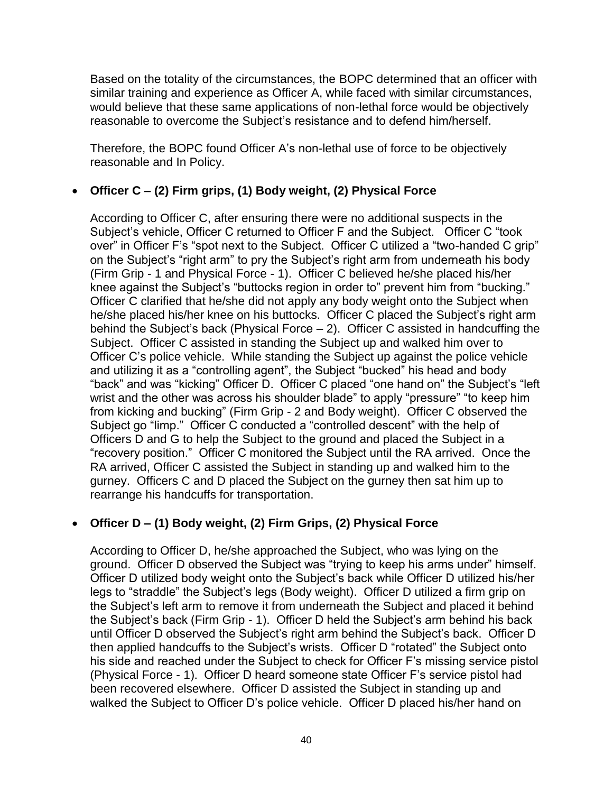Based on the totality of the circumstances, the BOPC determined that an officer with similar training and experience as Officer A, while faced with similar circumstances, would believe that these same applications of non-lethal force would be objectively reasonable to overcome the Subject's resistance and to defend him/herself.

Therefore, the BOPC found Officer A's non-lethal use of force to be objectively reasonable and In Policy.

# • **Officer C – (2) Firm grips, (1) Body weight, (2) Physical Force**

According to Officer C, after ensuring there were no additional suspects in the Subject's vehicle, Officer C returned to Officer F and the Subject. Officer C "took over" in Officer F's "spot next to the Subject. Officer C utilized a "two-handed C grip" on the Subject's "right arm" to pry the Subject's right arm from underneath his body (Firm Grip - 1 and Physical Force - 1). Officer C believed he/she placed his/her knee against the Subject's "buttocks region in order to" prevent him from "bucking." Officer C clarified that he/she did not apply any body weight onto the Subject when he/she placed his/her knee on his buttocks. Officer C placed the Subject's right arm behind the Subject's back (Physical Force  $-2$ ). Officer C assisted in handcuffing the Subject. Officer C assisted in standing the Subject up and walked him over to Officer C's police vehicle. While standing the Subject up against the police vehicle and utilizing it as a "controlling agent", the Subject "bucked" his head and body "back" and was "kicking" Officer D. Officer C placed "one hand on" the Subject's "left wrist and the other was across his shoulder blade" to apply "pressure" "to keep him from kicking and bucking" (Firm Grip - 2 and Body weight). Officer C observed the Subject go "limp." Officer C conducted a "controlled descent" with the help of Officers D and G to help the Subject to the ground and placed the Subject in a "recovery position." Officer C monitored the Subject until the RA arrived. Once the RA arrived, Officer C assisted the Subject in standing up and walked him to the gurney. Officers C and D placed the Subject on the gurney then sat him up to rearrange his handcuffs for transportation.

## • **Officer D – (1) Body weight, (2) Firm Grips, (2) Physical Force**

According to Officer D, he/she approached the Subject, who was lying on the ground. Officer D observed the Subject was "trying to keep his arms under" himself. Officer D utilized body weight onto the Subject's back while Officer D utilized his/her legs to "straddle" the Subject's legs (Body weight). Officer D utilized a firm grip on the Subject's left arm to remove it from underneath the Subject and placed it behind the Subject's back (Firm Grip - 1). Officer D held the Subject's arm behind his back until Officer D observed the Subject's right arm behind the Subject's back. Officer D then applied handcuffs to the Subject's wrists. Officer D "rotated" the Subject onto his side and reached under the Subject to check for Officer F's missing service pistol (Physical Force - 1). Officer D heard someone state Officer F's service pistol had been recovered elsewhere. Officer D assisted the Subject in standing up and walked the Subject to Officer D's police vehicle. Officer D placed his/her hand on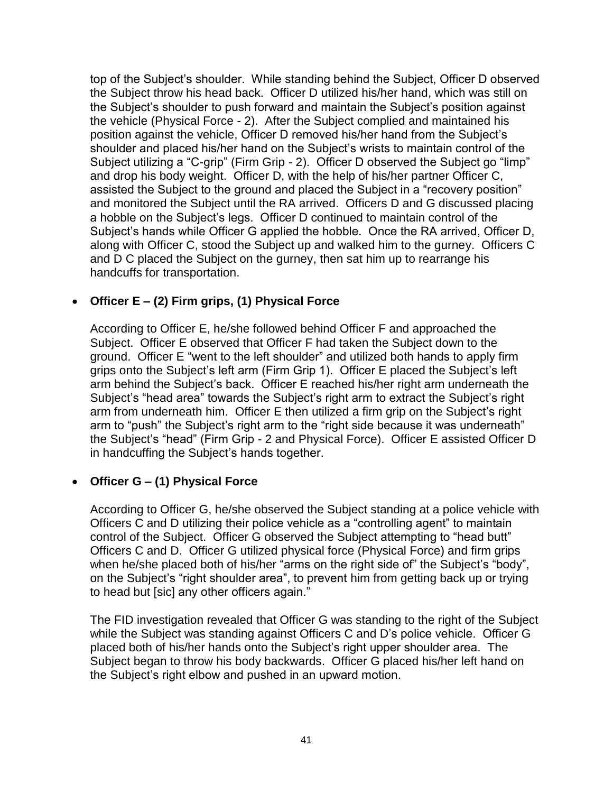top of the Subject's shoulder. While standing behind the Subject, Officer D observed the Subject throw his head back. Officer D utilized his/her hand, which was still on the Subject's shoulder to push forward and maintain the Subject's position against the vehicle (Physical Force - 2). After the Subject complied and maintained his position against the vehicle, Officer D removed his/her hand from the Subject's shoulder and placed his/her hand on the Subject's wrists to maintain control of the Subject utilizing a "C-grip" (Firm Grip - 2). Officer D observed the Subject go "limp" and drop his body weight. Officer D, with the help of his/her partner Officer C, assisted the Subject to the ground and placed the Subject in a "recovery position" and monitored the Subject until the RA arrived. Officers D and G discussed placing a hobble on the Subject's legs. Officer D continued to maintain control of the Subject's hands while Officer G applied the hobble. Once the RA arrived, Officer D, along with Officer C, stood the Subject up and walked him to the gurney. Officers C and D C placed the Subject on the gurney, then sat him up to rearrange his handcuffs for transportation.

# • **Officer E – (2) Firm grips, (1) Physical Force**

According to Officer E, he/she followed behind Officer F and approached the Subject. Officer E observed that Officer F had taken the Subject down to the ground. Officer E "went to the left shoulder" and utilized both hands to apply firm grips onto the Subject's left arm (Firm Grip 1). Officer E placed the Subject's left arm behind the Subject's back. Officer E reached his/her right arm underneath the Subject's "head area" towards the Subject's right arm to extract the Subject's right arm from underneath him. Officer E then utilized a firm grip on the Subject's right arm to "push" the Subject's right arm to the "right side because it was underneath" the Subject's "head" (Firm Grip - 2 and Physical Force). Officer E assisted Officer D in handcuffing the Subject's hands together.

## • **Officer G – (1) Physical Force**

According to Officer G, he/she observed the Subject standing at a police vehicle with Officers C and D utilizing their police vehicle as a "controlling agent" to maintain control of the Subject. Officer G observed the Subject attempting to "head butt" Officers C and D. Officer G utilized physical force (Physical Force) and firm grips when he/she placed both of his/her "arms on the right side of" the Subject's "body", on the Subject's "right shoulder area", to prevent him from getting back up or trying to head but [sic] any other officers again."

The FID investigation revealed that Officer G was standing to the right of the Subject while the Subject was standing against Officers C and D's police vehicle. Officer G placed both of his/her hands onto the Subject's right upper shoulder area. The Subject began to throw his body backwards. Officer G placed his/her left hand on the Subject's right elbow and pushed in an upward motion.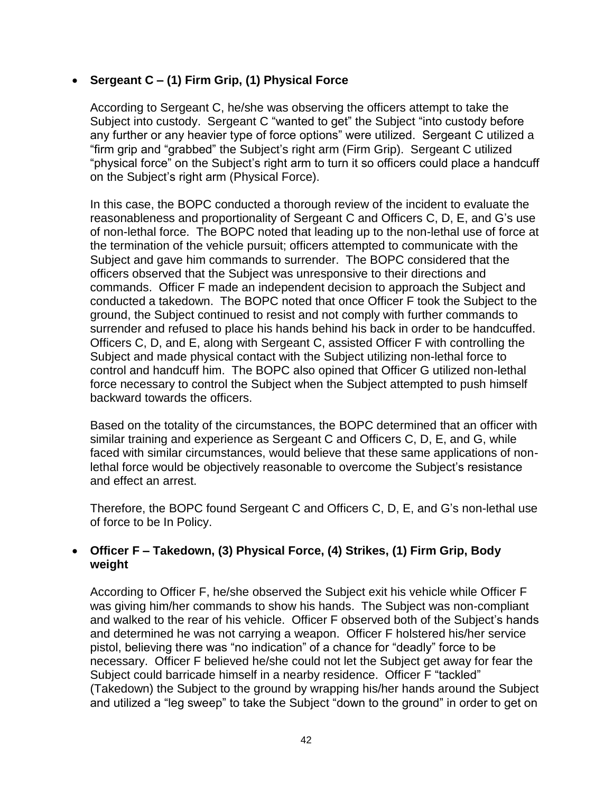## • **Sergeant C – (1) Firm Grip, (1) Physical Force**

According to Sergeant C, he/she was observing the officers attempt to take the Subject into custody. Sergeant C "wanted to get" the Subject "into custody before any further or any heavier type of force options" were utilized. Sergeant C utilized a "firm grip and "grabbed" the Subject's right arm (Firm Grip). Sergeant C utilized "physical force" on the Subject's right arm to turn it so officers could place a handcuff on the Subject's right arm (Physical Force).

In this case, the BOPC conducted a thorough review of the incident to evaluate the reasonableness and proportionality of Sergeant C and Officers C, D, E, and G's use of non-lethal force. The BOPC noted that leading up to the non-lethal use of force at the termination of the vehicle pursuit; officers attempted to communicate with the Subject and gave him commands to surrender. The BOPC considered that the officers observed that the Subject was unresponsive to their directions and commands. Officer F made an independent decision to approach the Subject and conducted a takedown. The BOPC noted that once Officer F took the Subject to the ground, the Subject continued to resist and not comply with further commands to surrender and refused to place his hands behind his back in order to be handcuffed. Officers C, D, and E, along with Sergeant C, assisted Officer F with controlling the Subject and made physical contact with the Subject utilizing non-lethal force to control and handcuff him. The BOPC also opined that Officer G utilized non-lethal force necessary to control the Subject when the Subject attempted to push himself backward towards the officers.

Based on the totality of the circumstances, the BOPC determined that an officer with similar training and experience as Sergeant C and Officers C, D, E, and G, while faced with similar circumstances, would believe that these same applications of nonlethal force would be objectively reasonable to overcome the Subject's resistance and effect an arrest.

Therefore, the BOPC found Sergeant C and Officers C, D, E, and G's non-lethal use of force to be In Policy.

### • **Officer F – Takedown, (3) Physical Force, (4) Strikes, (1) Firm Grip, Body weight**

According to Officer F, he/she observed the Subject exit his vehicle while Officer F was giving him/her commands to show his hands. The Subject was non-compliant and walked to the rear of his vehicle. Officer F observed both of the Subject's hands and determined he was not carrying a weapon. Officer F holstered his/her service pistol, believing there was "no indication" of a chance for "deadly" force to be necessary. Officer F believed he/she could not let the Subject get away for fear the Subject could barricade himself in a nearby residence. Officer F "tackled" (Takedown) the Subject to the ground by wrapping his/her hands around the Subject and utilized a "leg sweep" to take the Subject "down to the ground" in order to get on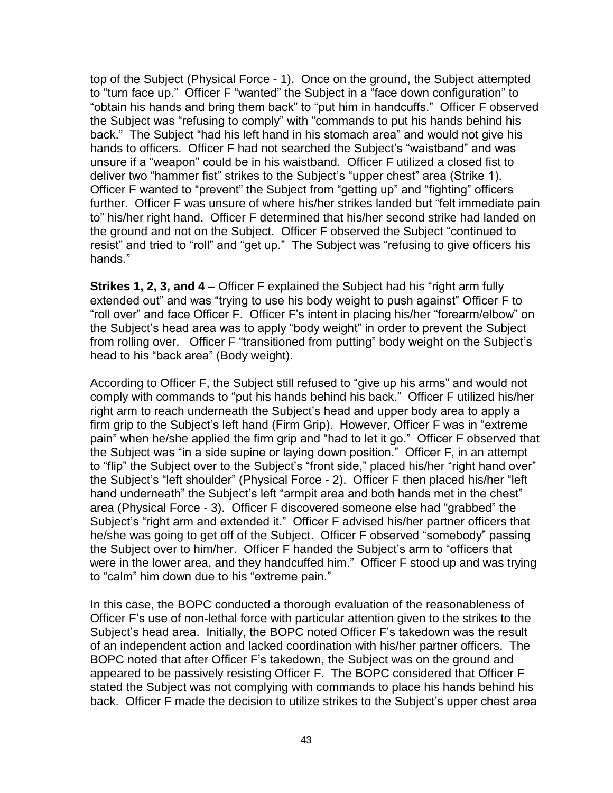top of the Subject (Physical Force - 1). Once on the ground, the Subject attempted to "turn face up." Officer F "wanted" the Subject in a "face down configuration" to "obtain his hands and bring them back" to "put him in handcuffs." Officer F observed the Subject was "refusing to comply" with "commands to put his hands behind his back." The Subject "had his left hand in his stomach area" and would not give his hands to officers. Officer F had not searched the Subject's "waistband" and was unsure if a "weapon" could be in his waistband. Officer F utilized a closed fist to deliver two "hammer fist" strikes to the Subject's "upper chest" area (Strike 1). Officer F wanted to "prevent" the Subject from "getting up" and "fighting" officers further. Officer F was unsure of where his/her strikes landed but "felt immediate pain to" his/her right hand. Officer F determined that his/her second strike had landed on the ground and not on the Subject. Officer F observed the Subject "continued to resist" and tried to "roll" and "get up." The Subject was "refusing to give officers his hands."

**Strikes 1, 2, 3, and 4 –** Officer F explained the Subject had his "right arm fully extended out" and was "trying to use his body weight to push against" Officer F to "roll over" and face Officer F. Officer F's intent in placing his/her "forearm/elbow" on the Subject's head area was to apply "body weight" in order to prevent the Subject from rolling over. Officer F "transitioned from putting" body weight on the Subject's head to his "back area" (Body weight).

According to Officer F, the Subject still refused to "give up his arms" and would not comply with commands to "put his hands behind his back." Officer F utilized his/her right arm to reach underneath the Subject's head and upper body area to apply a firm grip to the Subject's left hand (Firm Grip). However, Officer F was in "extreme pain" when he/she applied the firm grip and "had to let it go." Officer F observed that the Subject was "in a side supine or laying down position." Officer F, in an attempt to "flip" the Subject over to the Subject's "front side," placed his/her "right hand over" the Subject's "left shoulder" (Physical Force - 2). Officer F then placed his/her "left hand underneath" the Subject's left "armpit area and both hands met in the chest" area (Physical Force - 3). Officer F discovered someone else had "grabbed" the Subject's "right arm and extended it." Officer F advised his/her partner officers that he/she was going to get off of the Subject. Officer F observed "somebody" passing the Subject over to him/her. Officer F handed the Subject's arm to "officers that were in the lower area, and they handcuffed him." Officer F stood up and was trying to "calm" him down due to his "extreme pain."

In this case, the BOPC conducted a thorough evaluation of the reasonableness of Officer F's use of non-lethal force with particular attention given to the strikes to the Subject's head area. Initially, the BOPC noted Officer F's takedown was the result of an independent action and lacked coordination with his/her partner officers. The BOPC noted that after Officer F's takedown, the Subject was on the ground and appeared to be passively resisting Officer F. The BOPC considered that Officer F stated the Subject was not complying with commands to place his hands behind his back. Officer F made the decision to utilize strikes to the Subject's upper chest area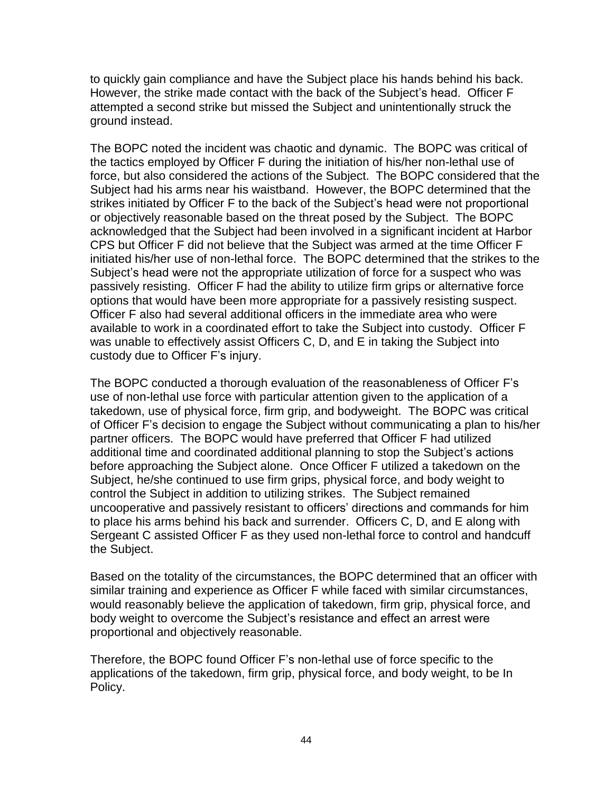to quickly gain compliance and have the Subject place his hands behind his back. However, the strike made contact with the back of the Subject's head. Officer F attempted a second strike but missed the Subject and unintentionally struck the ground instead.

The BOPC noted the incident was chaotic and dynamic. The BOPC was critical of the tactics employed by Officer F during the initiation of his/her non-lethal use of force, but also considered the actions of the Subject. The BOPC considered that the Subject had his arms near his waistband. However, the BOPC determined that the strikes initiated by Officer F to the back of the Subject's head were not proportional or objectively reasonable based on the threat posed by the Subject. The BOPC acknowledged that the Subject had been involved in a significant incident at Harbor CPS but Officer F did not believe that the Subject was armed at the time Officer F initiated his/her use of non-lethal force. The BOPC determined that the strikes to the Subject's head were not the appropriate utilization of force for a suspect who was passively resisting. Officer F had the ability to utilize firm grips or alternative force options that would have been more appropriate for a passively resisting suspect. Officer F also had several additional officers in the immediate area who were available to work in a coordinated effort to take the Subject into custody. Officer F was unable to effectively assist Officers C, D, and E in taking the Subject into custody due to Officer F's injury.

The BOPC conducted a thorough evaluation of the reasonableness of Officer F's use of non-lethal use force with particular attention given to the application of a takedown, use of physical force, firm grip, and bodyweight. The BOPC was critical of Officer F's decision to engage the Subject without communicating a plan to his/her partner officers. The BOPC would have preferred that Officer F had utilized additional time and coordinated additional planning to stop the Subject's actions before approaching the Subject alone. Once Officer F utilized a takedown on the Subject, he/she continued to use firm grips, physical force, and body weight to control the Subject in addition to utilizing strikes. The Subject remained uncooperative and passively resistant to officers' directions and commands for him to place his arms behind his back and surrender. Officers C, D, and E along with Sergeant C assisted Officer F as they used non-lethal force to control and handcuff the Subject.

Based on the totality of the circumstances, the BOPC determined that an officer with similar training and experience as Officer F while faced with similar circumstances, would reasonably believe the application of takedown, firm grip, physical force, and body weight to overcome the Subject's resistance and effect an arrest were proportional and objectively reasonable.

Therefore, the BOPC found Officer F's non-lethal use of force specific to the applications of the takedown, firm grip, physical force, and body weight, to be In Policy.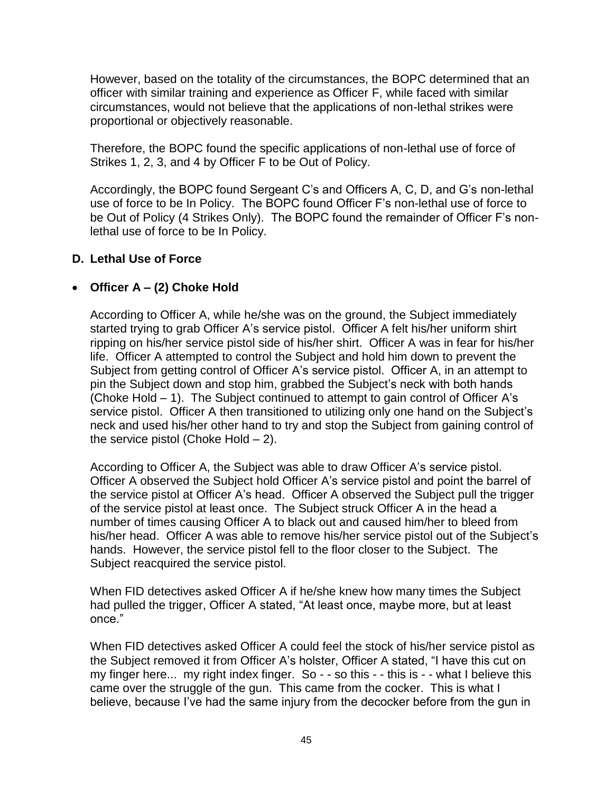However, based on the totality of the circumstances, the BOPC determined that an officer with similar training and experience as Officer F, while faced with similar circumstances, would not believe that the applications of non-lethal strikes were proportional or objectively reasonable.

Therefore, the BOPC found the specific applications of non-lethal use of force of Strikes 1, 2, 3, and 4 by Officer F to be Out of Policy.

Accordingly, the BOPC found Sergeant C's and Officers A, C, D, and G's non-lethal use of force to be In Policy. The BOPC found Officer F's non-lethal use of force to be Out of Policy (4 Strikes Only). The BOPC found the remainder of Officer F's nonlethal use of force to be In Policy.

## **D. Lethal Use of Force**

## • **Officer A – (2) Choke Hold**

According to Officer A, while he/she was on the ground, the Subject immediately started trying to grab Officer A's service pistol. Officer A felt his/her uniform shirt ripping on his/her service pistol side of his/her shirt. Officer A was in fear for his/her life. Officer A attempted to control the Subject and hold him down to prevent the Subject from getting control of Officer A's service pistol. Officer A, in an attempt to pin the Subject down and stop him, grabbed the Subject's neck with both hands (Choke Hold – 1). The Subject continued to attempt to gain control of Officer A's service pistol. Officer A then transitioned to utilizing only one hand on the Subject's neck and used his/her other hand to try and stop the Subject from gaining control of the service pistol (Choke Hold  $-2$ ).

According to Officer A, the Subject was able to draw Officer A's service pistol. Officer A observed the Subject hold Officer A's service pistol and point the barrel of the service pistol at Officer A's head. Officer A observed the Subject pull the trigger of the service pistol at least once. The Subject struck Officer A in the head a number of times causing Officer A to black out and caused him/her to bleed from his/her head. Officer A was able to remove his/her service pistol out of the Subject's hands. However, the service pistol fell to the floor closer to the Subject. The Subject reacquired the service pistol.

When FID detectives asked Officer A if he/she knew how many times the Subject had pulled the trigger, Officer A stated, "At least once, maybe more, but at least once."

When FID detectives asked Officer A could feel the stock of his/her service pistol as the Subject removed it from Officer A's holster, Officer A stated, "I have this cut on my finger here... my right index finger. So - - so this - - this is - - what I believe this came over the struggle of the gun. This came from the cocker. This is what I believe, because I've had the same injury from the decocker before from the gun in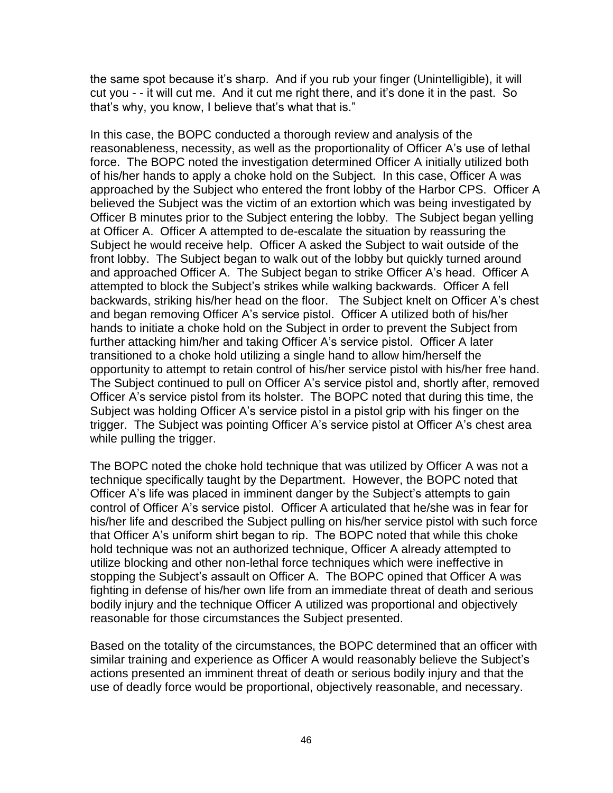the same spot because it's sharp. And if you rub your finger (Unintelligible), it will cut you - - it will cut me. And it cut me right there, and it's done it in the past. So that's why, you know, I believe that's what that is."

In this case, the BOPC conducted a thorough review and analysis of the reasonableness, necessity, as well as the proportionality of Officer A's use of lethal force. The BOPC noted the investigation determined Officer A initially utilized both of his/her hands to apply a choke hold on the Subject. In this case, Officer A was approached by the Subject who entered the front lobby of the Harbor CPS. Officer A believed the Subject was the victim of an extortion which was being investigated by Officer B minutes prior to the Subject entering the lobby. The Subject began yelling at Officer A. Officer A attempted to de-escalate the situation by reassuring the Subject he would receive help. Officer A asked the Subject to wait outside of the front lobby. The Subject began to walk out of the lobby but quickly turned around and approached Officer A. The Subject began to strike Officer A's head. Officer A attempted to block the Subject's strikes while walking backwards. Officer A fell backwards, striking his/her head on the floor. The Subject knelt on Officer A's chest and began removing Officer A's service pistol. Officer A utilized both of his/her hands to initiate a choke hold on the Subject in order to prevent the Subject from further attacking him/her and taking Officer A's service pistol. Officer A later transitioned to a choke hold utilizing a single hand to allow him/herself the opportunity to attempt to retain control of his/her service pistol with his/her free hand. The Subject continued to pull on Officer A's service pistol and, shortly after, removed Officer A's service pistol from its holster. The BOPC noted that during this time, the Subject was holding Officer A's service pistol in a pistol grip with his finger on the trigger. The Subject was pointing Officer A's service pistol at Officer A's chest area while pulling the trigger.

The BOPC noted the choke hold technique that was utilized by Officer A was not a technique specifically taught by the Department. However, the BOPC noted that Officer A's life was placed in imminent danger by the Subject's attempts to gain control of Officer A's service pistol. Officer A articulated that he/she was in fear for his/her life and described the Subject pulling on his/her service pistol with such force that Officer A's uniform shirt began to rip. The BOPC noted that while this choke hold technique was not an authorized technique, Officer A already attempted to utilize blocking and other non-lethal force techniques which were ineffective in stopping the Subject's assault on Officer A. The BOPC opined that Officer A was fighting in defense of his/her own life from an immediate threat of death and serious bodily injury and the technique Officer A utilized was proportional and objectively reasonable for those circumstances the Subject presented.

Based on the totality of the circumstances, the BOPC determined that an officer with similar training and experience as Officer A would reasonably believe the Subject's actions presented an imminent threat of death or serious bodily injury and that the use of deadly force would be proportional, objectively reasonable, and necessary.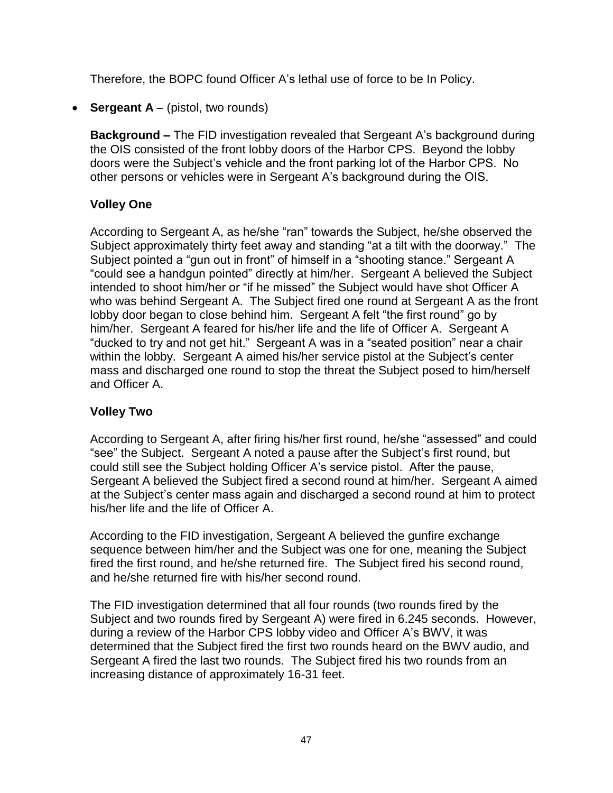Therefore, the BOPC found Officer A's lethal use of force to be In Policy.

• **Sergeant A** – (pistol, two rounds)

**Background –** The FID investigation revealed that Sergeant A's background during the OIS consisted of the front lobby doors of the Harbor CPS. Beyond the lobby doors were the Subject's vehicle and the front parking lot of the Harbor CPS. No other persons or vehicles were in Sergeant A's background during the OIS.

# **Volley One**

According to Sergeant A, as he/she "ran" towards the Subject, he/she observed the Subject approximately thirty feet away and standing "at a tilt with the doorway." The Subject pointed a "gun out in front" of himself in a "shooting stance." Sergeant A "could see a handgun pointed" directly at him/her. Sergeant A believed the Subject intended to shoot him/her or "if he missed" the Subject would have shot Officer A who was behind Sergeant A. The Subject fired one round at Sergeant A as the front lobby door began to close behind him. Sergeant A felt "the first round" go by him/her. Sergeant A feared for his/her life and the life of Officer A. Sergeant A "ducked to try and not get hit." Sergeant A was in a "seated position" near a chair within the lobby. Sergeant A aimed his/her service pistol at the Subject's center mass and discharged one round to stop the threat the Subject posed to him/herself and Officer A.

# **Volley Two**

According to Sergeant A, after firing his/her first round, he/she "assessed" and could "see" the Subject. Sergeant A noted a pause after the Subject's first round, but could still see the Subject holding Officer A's service pistol. After the pause, Sergeant A believed the Subject fired a second round at him/her. Sergeant A aimed at the Subject's center mass again and discharged a second round at him to protect his/her life and the life of Officer A.

According to the FID investigation, Sergeant A believed the gunfire exchange sequence between him/her and the Subject was one for one, meaning the Subject fired the first round, and he/she returned fire. The Subject fired his second round, and he/she returned fire with his/her second round.

The FID investigation determined that all four rounds (two rounds fired by the Subject and two rounds fired by Sergeant A) were fired in 6.245 seconds. However, during a review of the Harbor CPS lobby video and Officer A's BWV, it was determined that the Subject fired the first two rounds heard on the BWV audio, and Sergeant A fired the last two rounds. The Subject fired his two rounds from an increasing distance of approximately 16-31 feet.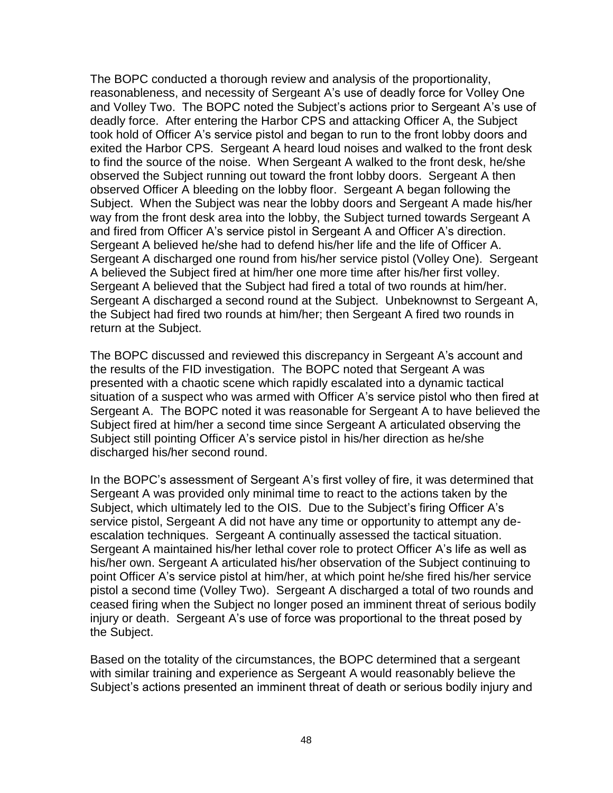The BOPC conducted a thorough review and analysis of the proportionality, reasonableness, and necessity of Sergeant A's use of deadly force for Volley One and Volley Two. The BOPC noted the Subject's actions prior to Sergeant A's use of deadly force. After entering the Harbor CPS and attacking Officer A, the Subject took hold of Officer A's service pistol and began to run to the front lobby doors and exited the Harbor CPS. Sergeant A heard loud noises and walked to the front desk to find the source of the noise. When Sergeant A walked to the front desk, he/she observed the Subject running out toward the front lobby doors. Sergeant A then observed Officer A bleeding on the lobby floor. Sergeant A began following the Subject. When the Subject was near the lobby doors and Sergeant A made his/her way from the front desk area into the lobby, the Subject turned towards Sergeant A and fired from Officer A's service pistol in Sergeant A and Officer A's direction. Sergeant A believed he/she had to defend his/her life and the life of Officer A. Sergeant A discharged one round from his/her service pistol (Volley One). Sergeant A believed the Subject fired at him/her one more time after his/her first volley. Sergeant A believed that the Subject had fired a total of two rounds at him/her. Sergeant A discharged a second round at the Subject. Unbeknownst to Sergeant A, the Subject had fired two rounds at him/her; then Sergeant A fired two rounds in return at the Subject.

The BOPC discussed and reviewed this discrepancy in Sergeant A's account and the results of the FID investigation. The BOPC noted that Sergeant A was presented with a chaotic scene which rapidly escalated into a dynamic tactical situation of a suspect who was armed with Officer A's service pistol who then fired at Sergeant A. The BOPC noted it was reasonable for Sergeant A to have believed the Subject fired at him/her a second time since Sergeant A articulated observing the Subject still pointing Officer A's service pistol in his/her direction as he/she discharged his/her second round.

In the BOPC's assessment of Sergeant A's first volley of fire, it was determined that Sergeant A was provided only minimal time to react to the actions taken by the Subject, which ultimately led to the OIS. Due to the Subject's firing Officer A's service pistol, Sergeant A did not have any time or opportunity to attempt any deescalation techniques. Sergeant A continually assessed the tactical situation. Sergeant A maintained his/her lethal cover role to protect Officer A's life as well as his/her own. Sergeant A articulated his/her observation of the Subject continuing to point Officer A's service pistol at him/her, at which point he/she fired his/her service pistol a second time (Volley Two). Sergeant A discharged a total of two rounds and ceased firing when the Subject no longer posed an imminent threat of serious bodily injury or death. Sergeant A's use of force was proportional to the threat posed by the Subject.

Based on the totality of the circumstances, the BOPC determined that a sergeant with similar training and experience as Sergeant A would reasonably believe the Subject's actions presented an imminent threat of death or serious bodily injury and